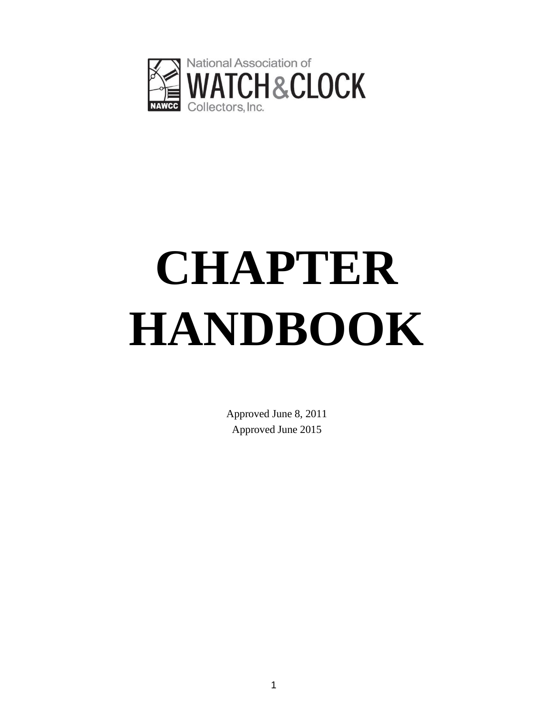

# **CHAPTER HANDBOOK**

Approved June 8, 2011 Approved June 2015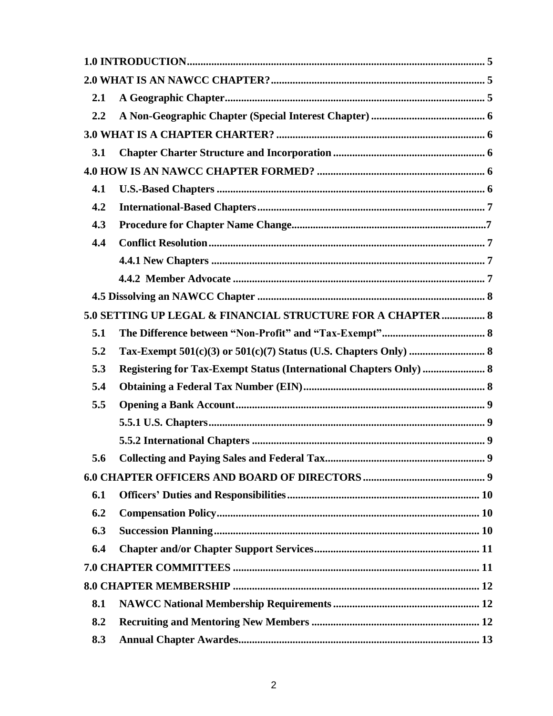| 2.1 |                                                                           |  |  |
|-----|---------------------------------------------------------------------------|--|--|
| 2.2 |                                                                           |  |  |
|     |                                                                           |  |  |
| 3.1 |                                                                           |  |  |
|     |                                                                           |  |  |
| 4.1 |                                                                           |  |  |
| 4.2 |                                                                           |  |  |
| 4.3 |                                                                           |  |  |
| 4.4 |                                                                           |  |  |
|     |                                                                           |  |  |
|     |                                                                           |  |  |
|     |                                                                           |  |  |
|     | 5.0 SETTING UP LEGAL & FINANCIAL STRUCTURE FOR A CHAPTER  8               |  |  |
| 5.1 |                                                                           |  |  |
| 5.2 |                                                                           |  |  |
| 5.3 | <b>Registering for Tax-Exempt Status (International Chapters Only)  8</b> |  |  |
| 5.4 |                                                                           |  |  |
| 5.5 |                                                                           |  |  |
|     |                                                                           |  |  |
|     |                                                                           |  |  |
| 5.6 |                                                                           |  |  |
|     |                                                                           |  |  |
| 6.1 |                                                                           |  |  |
| 6.2 |                                                                           |  |  |
| 6.3 |                                                                           |  |  |
| 6.4 |                                                                           |  |  |
|     |                                                                           |  |  |
|     |                                                                           |  |  |
| 8.1 |                                                                           |  |  |
| 8.2 |                                                                           |  |  |
| 8.3 |                                                                           |  |  |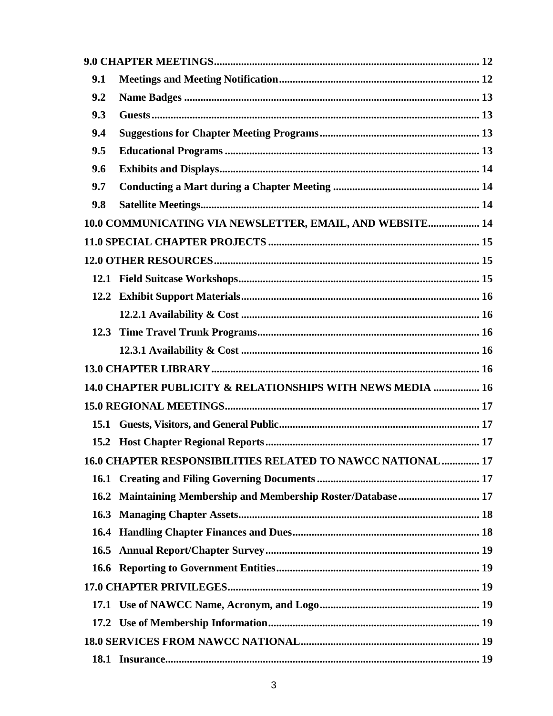| 9.1         |                                                             |  |
|-------------|-------------------------------------------------------------|--|
| 9.2         |                                                             |  |
| 9.3         |                                                             |  |
| 9.4         |                                                             |  |
| 9.5         |                                                             |  |
| 9.6         |                                                             |  |
| 9.7         |                                                             |  |
| 9.8         |                                                             |  |
|             | 10.0 COMMUNICATING VIA NEWSLETTER, EMAIL, AND WEBSITE 14    |  |
|             |                                                             |  |
|             |                                                             |  |
|             |                                                             |  |
| 12.2        |                                                             |  |
|             |                                                             |  |
|             |                                                             |  |
|             |                                                             |  |
|             |                                                             |  |
|             | 14.0 CHAPTER PUBLICITY & RELATIONSHIPS WITH NEWS MEDIA  16  |  |
|             |                                                             |  |
| 15.1        |                                                             |  |
| 15.2        |                                                             |  |
|             | 16.0 CHAPTER RESPONSIBILITIES RELATED TO NAWCC NATIONAL  17 |  |
|             |                                                             |  |
| 16.2        | Maintaining Membership and Membership Roster/Database 17    |  |
| 16.3        |                                                             |  |
|             |                                                             |  |
| <b>16.5</b> |                                                             |  |
|             |                                                             |  |
|             |                                                             |  |
|             |                                                             |  |
| 17.2        |                                                             |  |
|             |                                                             |  |
| 18.1        |                                                             |  |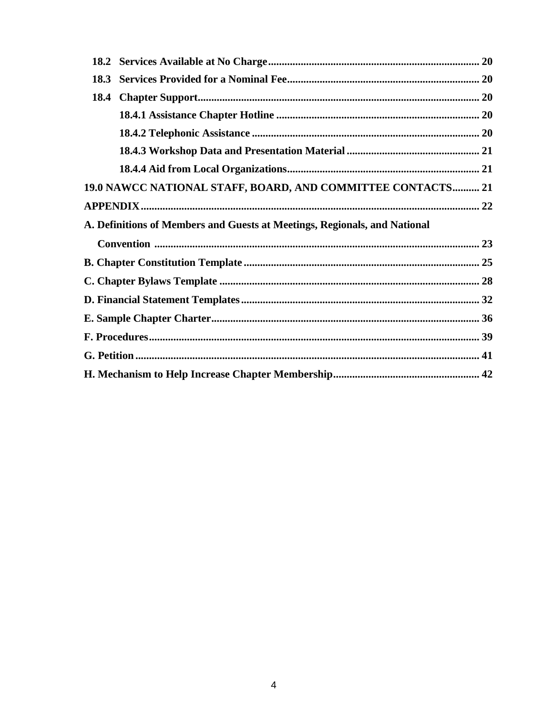| 19.0 NAWCC NATIONAL STAFF, BOARD, AND COMMITTEE CONTACTS 21               |  |
|---------------------------------------------------------------------------|--|
|                                                                           |  |
| A. Definitions of Members and Guests at Meetings, Regionals, and National |  |
|                                                                           |  |
|                                                                           |  |
|                                                                           |  |
|                                                                           |  |
|                                                                           |  |
|                                                                           |  |
|                                                                           |  |
|                                                                           |  |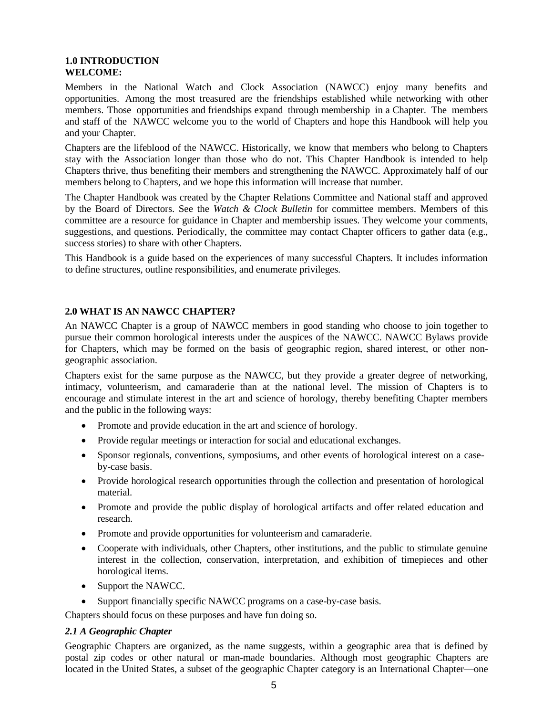#### **1.0 INTRODUCTION WELCOME:**

Members in the National Watch and Clock Association (NAWCC) enjoy many benefits and opportunities. Among the most treasured are the friendships established while networking with other members. Those opportunities and friendships expand through membership in a Chapter. The members and staff of the NAWCC welcome you to the world of Chapters and hope this Handbook will help you and your Chapter.

Chapters are the lifeblood of the NAWCC. Historically, we know that members who belong to Chapters stay with the Association longer than those who do not. This Chapter Handbook is intended to help Chapters thrive, thus benefiting their members and strengthening the NAWCC. Approximately half of our members belong to Chapters, and we hope this information will increase that number.

The Chapter Handbook was created by the Chapter Relations Committee and National staff and approved by the Board of Directors. See the *Watch & Clock Bulletin* for committee members. Members of this committee are a resource for guidance in Chapter and membership issues. They welcome your comments, suggestions, and questions. Periodically, the committee may contact Chapter officers to gather data (e.g., success stories) to share with other Chapters.

This Handbook is a guide based on the experiences of many successful Chapters. It includes information to define structures, outline responsibilities, and enumerate privileges.

### **2.0 WHAT IS AN NAWCC CHAPTER?**

An NAWCC Chapter is a group of NAWCC members in good standing who choose to join together to pursue their common horological interests under the auspices of the NAWCC. NAWCC Bylaws provide for Chapters, which may be formed on the basis of geographic region, shared interest, or other nongeographic association.

Chapters exist for the same purpose as the NAWCC, but they provide a greater degree of networking, intimacy, volunteerism, and camaraderie than at the national level. The mission of Chapters is to encourage and stimulate interest in the art and science of horology, thereby benefiting Chapter members and the public in the following ways:

- Promote and provide education in the art and science of horology.
- Provide regular meetings or interaction for social and educational exchanges.
- Sponsor regionals, conventions, symposiums, and other events of horological interest on a caseby-case basis.
- Provide horological research opportunities through the collection and presentation of horological material.
- Promote and provide the public display of horological artifacts and offer related education and research.
- Promote and provide opportunities for volunteerism and camaraderie.
- Cooperate with individuals, other Chapters, other institutions, and the public to stimulate genuine interest in the collection, conservation, interpretation, and exhibition of timepieces and other horological items.
- Support the NAWCC.
- Support financially specific NAWCC programs on a case-by-case basis.

Chapters should focus on these purposes and have fun doing so.

#### *2.1 A Geographic Chapter*

Geographic Chapters are organized, as the name suggests, within a geographic area that is defined by postal zip codes or other natural or man-made boundaries. Although most geographic Chapters are located in the United States, a subset of the geographic Chapter category is an International Chapter—one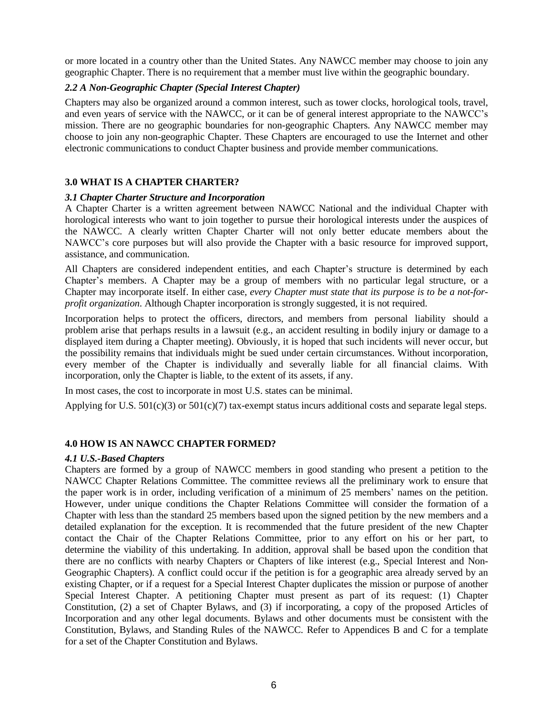or more located in a country other than the United States. Any NAWCC member may choose to join any geographic Chapter. There is no requirement that a member must live within the geographic boundary.

#### *2.2 A Non-Geographic Chapter (Special Interest Chapter)*

Chapters may also be organized around a common interest, such as tower clocks, horological tools, travel, and even years of service with the NAWCC, or it can be of general interest appropriate to the NAWCC's mission. There are no geographic boundaries for non-geographic Chapters. Any NAWCC member may choose to join any non-geographic Chapter. These Chapters are encouraged to use the Internet and other electronic communications to conduct Chapter business and provide member communications.

#### **3.0 WHAT IS A CHAPTER CHARTER?**

#### *3.1 Chapter Charter Structure and Incorporation*

A Chapter Charter is a written agreement between NAWCC National and the individual Chapter with horological interests who want to join together to pursue their horological interests under the auspices of the NAWCC. A clearly written Chapter Charter will not only better educate members about the NAWCC's core purposes but will also provide the Chapter with a basic resource for improved support, assistance, and communication.

All Chapters are considered independent entities, and each Chapter's structure is determined by each Chapter's members. A Chapter may be a group of members with no particular legal structure, or a Chapter may incorporate itself. In either case, *every Chapter must state that its purpose is to be a not-forprofit organization*. Although Chapter incorporation is strongly suggested, it is not required.

Incorporation helps to protect the officers, directors, and members from personal liability should a problem arise that perhaps results in a lawsuit (e.g., an accident resulting in bodily injury or damage to a displayed item during a Chapter meeting). Obviously, it is hoped that such incidents will never occur, but the possibility remains that individuals might be sued under certain circumstances. Without incorporation, every member of the Chapter is individually and severally liable for all financial claims. With incorporation, only the Chapter is liable, to the extent of its assets, if any.

In most cases, the cost to incorporate in most U.S. states can be minimal.

Applying for U.S.  $501(c)(3)$  or  $501(c)(7)$  tax-exempt status incurs additional costs and separate legal steps.

#### **4.0 HOW IS AN NAWCC CHAPTER FORMED?**

#### *4.1 U.S.-Based Chapters*

Chapters are formed by a group of NAWCC members in good standing who present a petition to the NAWCC Chapter Relations Committee. The committee reviews all the preliminary work to ensure that the paper work is in order, including verification of a minimum of 25 members' names on the petition. However, under unique conditions the Chapter Relations Committee will consider the formation of a Chapter with less than the standard 25 members based upon the signed petition by the new members and a detailed explanation for the exception. It is recommended that the future president of the new Chapter contact the Chair of the Chapter Relations Committee, prior to any effort on his or her part, to determine the viability of this undertaking. In addition, approval shall be based upon the condition that there are no conflicts with nearby Chapters or Chapters of like interest (e.g., Special Interest and Non-Geographic Chapters). A conflict could occur if the petition is for a geographic area already served by an existing Chapter, or if a request for a Special Interest Chapter duplicates the mission or purpose of another Special Interest Chapter. A petitioning Chapter must present as part of its request: (1) Chapter Constitution, (2) a set of Chapter Bylaws, and (3) if incorporating, a copy of the proposed Articles of Incorporation and any other legal documents. Bylaws and other documents must be consistent with the Constitution, Bylaws, and Standing Rules of the NAWCC. Refer to Appendices B and C for a template for a set of the Chapter Constitution and Bylaws.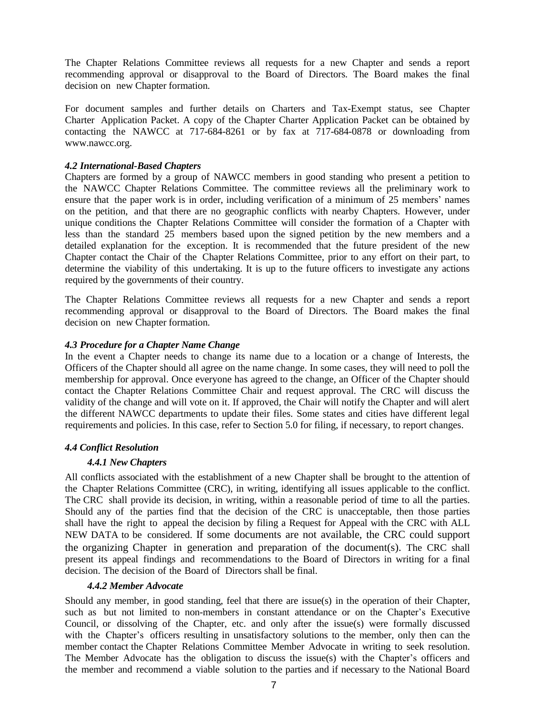The Chapter Relations Committee reviews all requests for a new Chapter and sends a report recommending approval or disapproval to the Board of Directors. The Board makes the final decision on new Chapter formation.

For document samples and further details on Charters and Tax-Exempt status, see Chapter Charter Application Packet. A copy of the Chapter Charter Application Packet can be obtained by contacting the NAWCC at 717-684-8261 or by fax at  $717-684-0878$  or downloading from [www.nawcc.org.](http://www.nawcc.org/)

#### *4.2 International-Based Chapters*

Chapters are formed by a group of NAWCC members in good standing who present a petition to the NAWCC Chapter Relations Committee. The committee reviews all the preliminary work to ensure that the paper work is in order, including verification of a minimum of 25 members' names on the petition, and that there are no geographic conflicts with nearby Chapters. However, under unique conditions the Chapter Relations Committee will consider the formation of a Chapter with less than the standard 25 members based upon the signed petition by the new members and a detailed explanation for the exception. It is recommended that the future president of the new Chapter contact the Chair of the Chapter Relations Committee, prior to any effort on their part, to determine the viability of this undertaking. It is up to the future officers to investigate any actions required by the governments of their country.

The Chapter Relations Committee reviews all requests for a new Chapter and sends a report recommending approval or disapproval to the Board of Directors. The Board makes the final decision on new Chapter formation.

#### *4.3 Procedure for a Chapter Name Change*

In the event a Chapter needs to change its name due to a location or a change of Interests, the Officers of the Chapter should all agree on the name change. In some cases, they will need to poll the membership for approval. Once everyone has agreed to the change, an Officer of the Chapter should contact the Chapter Relations Committee Chair and request approval. The CRC will discuss the validity of the change and will vote on it. If approved, the Chair will notify the Chapter and will alert the different NAWCC departments to update their files. Some states and cities have different legal requirements and policies. In this case, refer to Section 5.0 for filing, if necessary, to report changes.

#### *4.4 Conflict Resolution*

#### *4.4.1 New Chapters*

All conflicts associated with the establishment of a new Chapter shall be brought to the attention of the Chapter Relations Committee (CRC), in writing, identifying all issues applicable to the conflict. The CRC shall provide its decision, in writing, within a reasonable period of time to all the parties. Should any of the parties find that the decision of the CRC is unacceptable, then those parties shall have the right to appeal the decision by filing a Request for Appeal with the CRC with ALL NEW DATA to be considered. If some documents are not available, the CRC could support the organizing Chapter in generation and preparation of the document(s). The CRC shall present its appeal findings and recommendations to the Board of Directors in writing for a final decision. The decision of the Board of Directors shall be final.

#### *4.4.2 Member Advocate*

Should any member, in good standing, feel that there are issue(s) in the operation of their Chapter, such as but not limited to non-members in constant attendance or on the Chapter's Executive Council, or dissolving of the Chapter, etc. and only after the issue(s) were formally discussed with the Chapter's officers resulting in unsatisfactory solutions to the member, only then can the member contact the Chapter Relations Committee Member Advocate in writing to seek resolution. The Member Advocate has the obligation to discuss the issue(s) with the Chapter's officers and the member and recommend a viable solution to the parties and if necessary to the National Board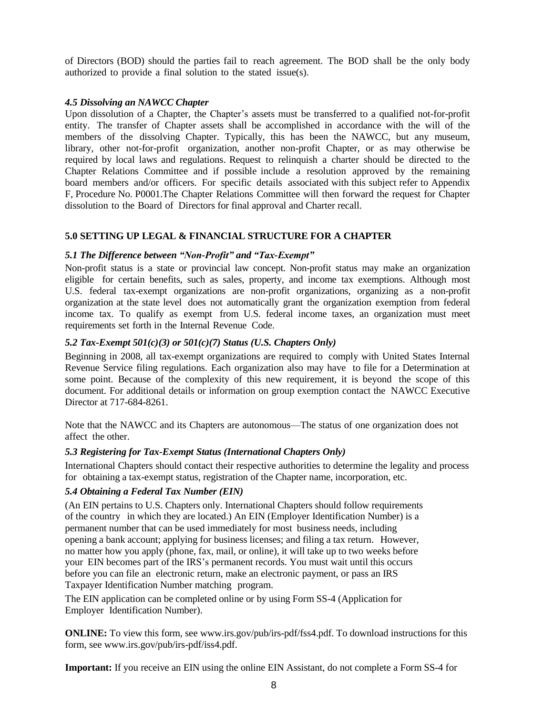of Directors (BOD) should the parties fail to reach agreement. The BOD shall be the only body authorized to provide a final solution to the stated issue(s).

#### *4.5 Dissolving an NAWCC Chapter*

Upon dissolution of a Chapter, the Chapter's assets must be transferred to a qualified not-for-profit entity. The transfer of Chapter assets shall be accomplished in accordance with the will of the members of the dissolving Chapter. Typically, this has been the NAWCC, but any museum, library, other not-for-profit organization, another non-profit Chapter, or as may otherwise be required by local laws and regulations. Request to relinquish a charter should be directed to the Chapter Relations Committee and if possible include a resolution approved by the remaining board members and/or officers. For specific details associated with this subject refer to Appendix F, Procedure No. P0001.The Chapter Relations Committee will then forward the request for Chapter dissolution to the Board of Directors for final approval and Charter recall.

#### **5.0 SETTING UP LEGAL & FINANCIAL STRUCTURE FOR A CHAPTER**

#### *5.1 The Difference between "Non-Profit" and "Tax-Exempt"*

Non-profit status is a state or provincial law concept. Non-profit status may make an organization eligible for certain benefits, such as sales, property, and income tax exemptions. Although most U.S. federal tax-exempt organizations are non-profit organizations, organizing as a non-profit organization at the state level does not automatically grant the organization exemption from federal income tax. To qualify as exempt from U.S. federal income taxes, an organization must meet requirements set forth in the Internal Revenue Code.

#### *5.2 Tax-Exempt 501(c)(3) or 501(c)(7) Status (U.S. Chapters Only)*

Beginning in 2008, all tax-exempt organizations are required to comply with United States Internal Revenue Service filing regulations. Each organization also may have to file for a Determination at some point. Because of the complexity of this new requirement, it is beyond the scope of this document. For additional details or information on group exemption contact the NAWCC Executive Director at 717-684-8261.

Note that the NAWCC and its Chapters are autonomous—The status of one organization does not affect the other.

#### *5.3 Registering for Tax-Exempt Status (International Chapters Only)*

International Chapters should contact their respective authorities to determine the legality and process for obtaining a tax-exempt status, registration of the Chapter name, incorporation, etc.

#### *5.4 Obtaining a Federal Tax Number (EIN)*

(An EIN pertains to U.S. Chapters only. International Chapters should follow requirements of the country in which they are located.) An EIN (Employer Identification Number) is a permanent number that can be used immediately for most business needs, including opening a bank account; applying for business licenses; and filing a tax return. However, no matter how you apply (phone, fax, mail, or online), it will take up to two weeks before your EIN becomes part of the IRS's permanent records. You must wait until this occurs before you can file an electronic return, make an electronic payment, or pass an IRS Taxpayer Identification Number matching program.

The EIN application can be completed online or by using Form SS-4 (Application for Employer Identification Number).

**ONLINE:** To view this form, [see www.irs.gov/pub/irs-pdf/fss4.pdf.](http://www.irs.gov/pub/irs-pdf/fss4.pdf) To download instructions for this form, see [www.irs.gov/pub/irs-pdf/iss4.pdf.](http://www.irs.gov/pub/irs-pdf/iss4.pdf)

**Important:** If you receive an EIN using the online EIN Assistant, do not complete a Form SS-4 for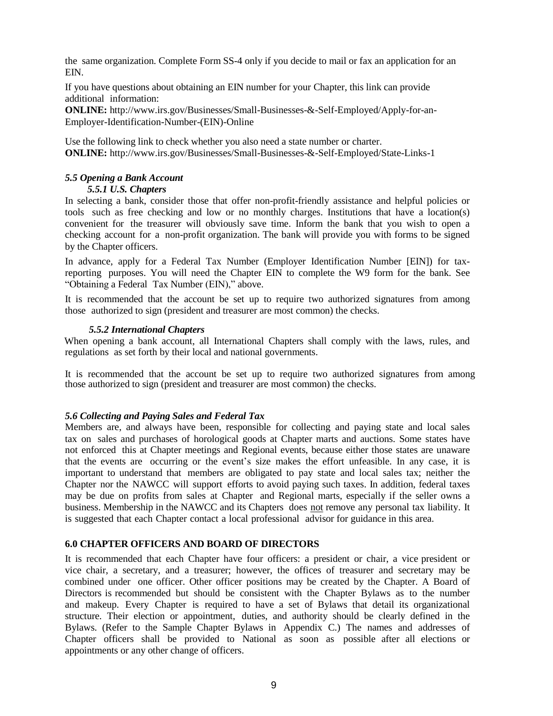the same organization. Complete Form SS-4 only if you decide to mail or fax an application for an EIN.

If you have questions about obtaining an EIN number for your Chapter, this link can provide additional information:

**ONLINE:** http://www.irs.gov/Businesses/Small-Businesses-&-Self-Employed/Apply-for-an-Employer-Identification-Number-(EIN)-Online

Use the following link to check whether you also need a state number or charter. **ONLINE:** http://www.irs.gov/Businesses/Small-Businesses-&-Self-Employed/State-Links-1

#### *5.5 Opening a Bank Account*

#### *5.5.1 U.S. Chapters*

In selecting a bank, consider those that offer non-profit-friendly assistance and helpful policies or tools such as free checking and low or no monthly charges. Institutions that have a location(s) convenient for the treasurer will obviously save time. Inform the bank that you wish to open a checking account for a non-profit organization. The bank will provide you with forms to be signed by the Chapter officers.

In advance, apply for a Federal Tax Number (Employer Identification Number [EIN]) for taxreporting purposes. You will need the Chapter EIN to complete the W9 form for the bank. See "Obtaining a Federal Tax Number (EIN)," above.

It is recommended that the account be set up to require two authorized signatures from among those authorized to sign (president and treasurer are most common) the checks.

#### *5.5.2 International Chapters*

When opening a bank account, all International Chapters shall comply with the laws, rules, and regulations as set forth by their local and national governments.

It is recommended that the account be set up to require two authorized signatures from among those authorized to sign (president and treasurer are most common) the checks.

#### *5.6 Collecting and Paying Sales and Federal Tax*

Members are, and always have been, responsible for collecting and paying state and local sales tax on sales and purchases of horological goods at Chapter marts and auctions. Some states have not enforced this at Chapter meetings and Regional events, because either those states are unaware that the events are occurring or the event's size makes the effort unfeasible. In any case, it is important to understand that members are obligated to pay state and local sales tax; neither the Chapter nor the NAWCC will support efforts to avoid paying such taxes. In addition, federal taxes may be due on profits from sales at Chapter and Regional marts, especially if the seller owns a business. Membership in the NAWCC and its Chapters does not remove any personal tax liability. It is suggested that each Chapter contact a local professional advisor for guidance in this area.

#### **6.0 CHAPTER OFFICERS AND BOARD OF DIRECTORS**

It is recommended that each Chapter have four officers: a president or chair, a vice president or vice chair, a secretary, and a treasurer; however, the offices of treasurer and secretary may be combined under one officer. Other officer positions may be created by the Chapter. A Board of Directors is recommended but should be consistent with the Chapter Bylaws as to the number and makeup. Every Chapter is required to have a set of Bylaws that detail its organizational structure. Their election or appointment, duties, and authority should be clearly defined in the Bylaws. (Refer to the Sample Chapter Bylaws in Appendix C.) The names and addresses of Chapter officers shall be provided to National as soon as possible after all elections or appointments or any other change of officers.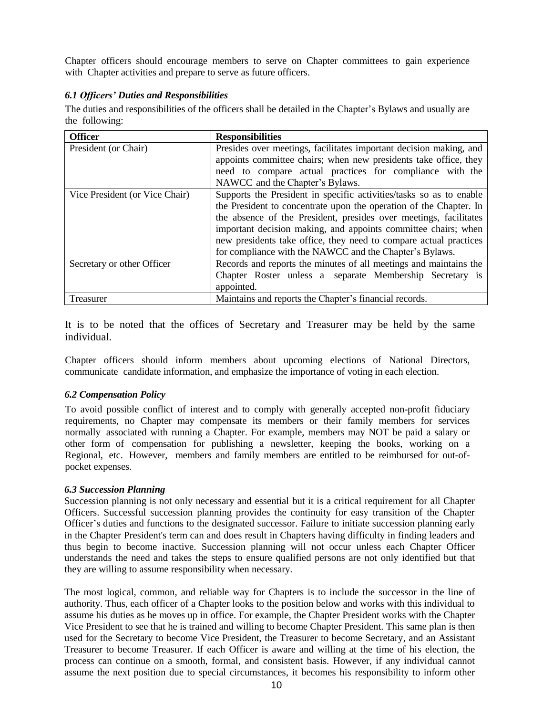Chapter officers should encourage members to serve on Chapter committees to gain experience with Chapter activities and prepare to serve as future officers.

#### *6.1 Officers' Duties and Responsibilities*

The duties and responsibilities of the officers shall be detailed in the Chapter's Bylaws and usually are the following:

| <b>Officer</b>                 | <b>Responsibilities</b>                                             |
|--------------------------------|---------------------------------------------------------------------|
| President (or Chair)           | Presides over meetings, facilitates important decision making, and  |
|                                | appoints committee chairs; when new presidents take office, they    |
|                                | need to compare actual practices for compliance with the            |
|                                | NAWCC and the Chapter's Bylaws.                                     |
| Vice President (or Vice Chair) | Supports the President in specific activities/tasks so as to enable |
|                                | the President to concentrate upon the operation of the Chapter. In  |
|                                | the absence of the President, presides over meetings, facilitates   |
|                                | important decision making, and appoints committee chairs; when      |
|                                | new presidents take office, they need to compare actual practices   |
|                                | for compliance with the NAWCC and the Chapter's Bylaws.             |
| Secretary or other Officer     | Records and reports the minutes of all meetings and maintains the   |
|                                | Chapter Roster unless a separate Membership Secretary is            |
|                                | appointed.                                                          |
| Treasurer                      | Maintains and reports the Chapter's financial records.              |

It is to be noted that the offices of Secretary and Treasurer may be held by the same individual.

Chapter officers should inform members about upcoming elections of National Directors, communicate candidate information, and emphasize the importance of voting in each election.

#### *6.2 Compensation Policy*

To avoid possible conflict of interest and to comply with generally accepted non-profit fiduciary requirements, no Chapter may compensate its members or their family members for services normally associated with running a Chapter. For example, members may NOT be paid a salary or other form of compensation for publishing a newsletter, keeping the books, working on a Regional, etc. However, members and family members are entitled to be reimbursed for out-ofpocket expenses.

#### *6.3 Succession Planning*

Succession planning is not only necessary and essential but it is a critical requirement for all Chapter Officers. Successful succession planning provides the continuity for easy transition of the Chapter Officer's duties and functions to the designated successor. Failure to initiate succession planning early in the Chapter President's term can and does result in Chapters having difficulty in finding leaders and thus begin to become inactive. Succession planning will not occur unless each Chapter Officer understands the need and takes the steps to ensure qualified persons are not only identified but that they are willing to assume responsibility when necessary.

The most logical, common, and reliable way for Chapters is to include the successor in the line of authority. Thus, each officer of a Chapter looks to the position below and works with this individual to assume his duties as he moves up in office. For example, the Chapter President works with the Chapter Vice President to see that he is trained and willing to become Chapter President. This same plan is then used for the Secretary to become Vice President, the Treasurer to become Secretary, and an Assistant Treasurer to become Treasurer. If each Officer is aware and willing at the time of his election, the process can continue on a smooth, formal, and consistent basis. However, if any individual cannot assume the next position due to special circumstances, it becomes his responsibility to inform other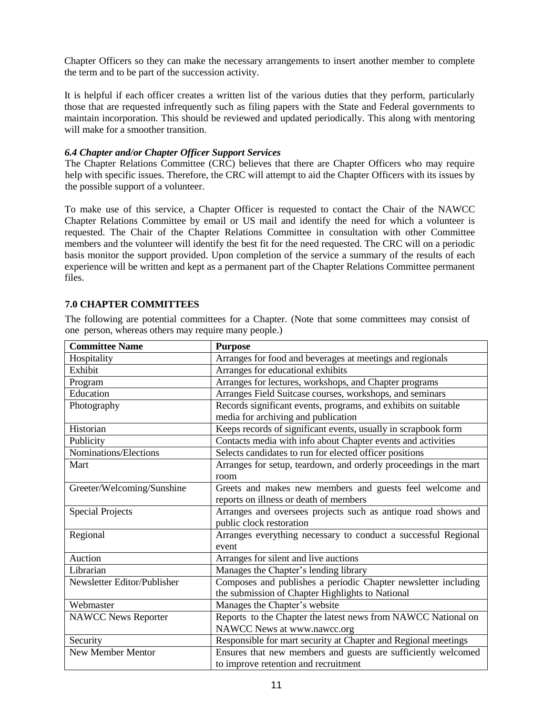Chapter Officers so they can make the necessary arrangements to insert another member to complete the term and to be part of the succession activity.

It is helpful if each officer creates a written list of the various duties that they perform, particularly those that are requested infrequently such as filing papers with the State and Federal governments to maintain incorporation. This should be reviewed and updated periodically. This along with mentoring will make for a smoother transition.

#### *6.4 Chapter and/or Chapter Officer Support Services*

The Chapter Relations Committee (CRC) believes that there are Chapter Officers who may require help with specific issues. Therefore, the CRC will attempt to aid the Chapter Officers with its issues by the possible support of a volunteer.

To make use of this service, a Chapter Officer is requested to contact the Chair of the NAWCC Chapter Relations Committee by email or US mail and identify the need for which a volunteer is requested. The Chair of the Chapter Relations Committee in consultation with other Committee members and the volunteer will identify the best fit for the need requested. The CRC will on a periodic basis monitor the support provided. Upon completion of the service a summary of the results of each experience will be written and kept as a permanent part of the Chapter Relations Committee permanent files.

#### **7.0 CHAPTER COMMITTEES**

The following are potential committees for a Chapter. (Note that some committees may consist of one person, whereas others may require many people.)

| <b>Committee Name</b>       | <b>Purpose</b>                                                    |  |  |
|-----------------------------|-------------------------------------------------------------------|--|--|
| Hospitality                 | Arranges for food and beverages at meetings and regionals         |  |  |
| Exhibit                     | Arranges for educational exhibits                                 |  |  |
| Program                     | Arranges for lectures, workshops, and Chapter programs            |  |  |
| Education                   | Arranges Field Suitcase courses, workshops, and seminars          |  |  |
| Photography                 | Records significant events, programs, and exhibits on suitable    |  |  |
|                             | media for archiving and publication                               |  |  |
| Historian                   | Keeps records of significant events, usually in scrapbook form    |  |  |
| Publicity                   | Contacts media with info about Chapter events and activities      |  |  |
| Nominations/Elections       | Selects candidates to run for elected officer positions           |  |  |
| Mart                        | Arranges for setup, teardown, and orderly proceedings in the mart |  |  |
|                             | room                                                              |  |  |
| Greeter/Welcoming/Sunshine  | Greets and makes new members and guests feel welcome and          |  |  |
|                             | reports on illness or death of members                            |  |  |
| <b>Special Projects</b>     | Arranges and oversees projects such as antique road shows and     |  |  |
|                             | public clock restoration                                          |  |  |
| Regional                    | Arranges everything necessary to conduct a successful Regional    |  |  |
|                             | event                                                             |  |  |
| Auction                     | Arranges for silent and live auctions                             |  |  |
| Librarian                   | Manages the Chapter's lending library                             |  |  |
| Newsletter Editor/Publisher | Composes and publishes a periodic Chapter newsletter including    |  |  |
|                             | the submission of Chapter Highlights to National                  |  |  |
| Webmaster                   | Manages the Chapter's website                                     |  |  |
| <b>NAWCC News Reporter</b>  | Reports to the Chapter the latest news from NAWCC National on     |  |  |
|                             | NAWCC News at www.nawcc.org                                       |  |  |
| Security                    | Responsible for mart security at Chapter and Regional meetings    |  |  |
| New Member Mentor           | Ensures that new members and guests are sufficiently welcomed     |  |  |
|                             | to improve retention and recruitment                              |  |  |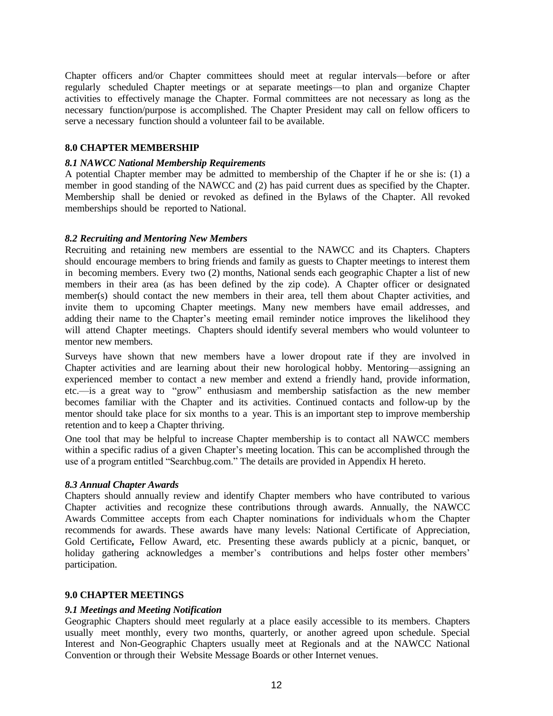Chapter officers and/or Chapter committees should meet at regular intervals—before or after regularly scheduled Chapter meetings or at separate meetings—to plan and organize Chapter activities to effectively manage the Chapter. Formal committees are not necessary as long as the necessary function/purpose is accomplished. The Chapter President may call on fellow officers to serve a necessary function should a volunteer fail to be available.

#### **8.0 CHAPTER MEMBERSHIP**

#### *8.1 NAWCC National Membership Requirements*

A potential Chapter member may be admitted to membership of the Chapter if he or she is: (1) a member in good standing of the NAWCC and (2) has paid current dues as specified by the Chapter. Membership shall be denied or revoked as defined in the Bylaws of the Chapter. All revoked memberships should be reported to National.

#### *8.2 Recruiting and Mentoring New Members*

Recruiting and retaining new members are essential to the NAWCC and its Chapters. Chapters should encourage members to bring friends and family as guests to Chapter meetings to interest them in becoming members. Every two (2) months, National sends each geographic Chapter a list of new members in their area (as has been defined by the zip code). A Chapter officer or designated member(s) should contact the new members in their area, tell them about Chapter activities, and invite them to upcoming Chapter meetings. Many new members have email addresses, and adding their name to the Chapter's meeting email reminder notice improves the likelihood they will attend Chapter meetings. Chapters should identify several members who would volunteer to mentor new members.

Surveys have shown that new members have a lower dropout rate if they are involved in Chapter activities and are learning about their new horological hobby. Mentoring—assigning an experienced member to contact a new member and extend a friendly hand, provide information, etc.—is a great way to "grow" enthusiasm and membership satisfaction as the new member becomes familiar with the Chapter and its activities. Continued contacts and follow-up by the mentor should take place for six months to a year. This is an important step to improve membership retention and to keep a Chapter thriving.

One tool that may be helpful to increase Chapter membership is to contact all NAWCC members within a specific radius of a given Chapter's meeting location. This can be accomplished through the use of a program entitled "Searchbug.com." The details are provided in Appendix H hereto.

#### *8.3 Annual Chapter Awards*

Chapters should annually review and identify Chapter members who have contributed to various Chapter activities and recognize these contributions through awards. Annually, the NAWCC Awards Committee accepts from each Chapter nominations for individuals whom the Chapter recommends for awards. These awards have many levels: National Certificate of Appreciation, Gold Certificate**,** Fellow Award, etc. Presenting these awards publicly at a picnic, banquet, or holiday gathering acknowledges a member's contributions and helps foster other members' participation.

#### **9.0 CHAPTER MEETINGS**

#### *9.1 Meetings and Meeting Notification*

Geographic Chapters should meet regularly at a place easily accessible to its members. Chapters usually meet monthly, every two months, quarterly, or another agreed upon schedule. Special Interest and Non-Geographic Chapters usually meet at Regionals and at the NAWCC National Convention or through their Website Message Boards or other Internet venues.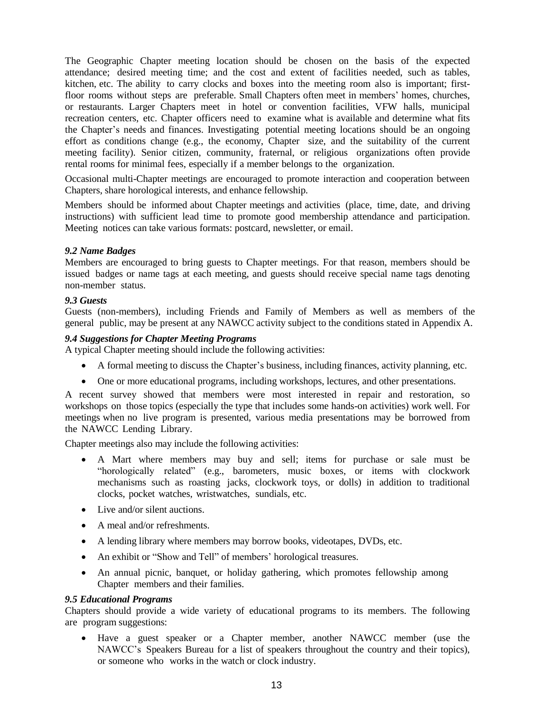The Geographic Chapter meeting location should be chosen on the basis of the expected attendance; desired meeting time; and the cost and extent of facilities needed, such as tables, kitchen, etc. The ability to carry clocks and boxes into the meeting room also is important; firstfloor rooms without steps are preferable. Small Chapters often meet in members' homes, churches, or restaurants. Larger Chapters meet in hotel or convention facilities, VFW halls, municipal recreation centers, etc. Chapter officers need to examine what is available and determine what fits the Chapter's needs and finances. Investigating potential meeting locations should be an ongoing effort as conditions change (e.g., the economy, Chapter size, and the suitability of the current meeting facility). Senior citizen, community, fraternal, or religious organizations often provide rental rooms for minimal fees, especially if a member belongs to the organization.

Occasional multi-Chapter meetings are encouraged to promote interaction and cooperation between Chapters, share horological interests, and enhance fellowship.

Members should be informed about Chapter meetings and activities (place, time, date, and driving instructions) with sufficient lead time to promote good membership attendance and participation. Meeting notices can take various formats: postcard, newsletter, or email.

#### *9.2 Name Badges*

Members are encouraged to bring guests to Chapter meetings. For that reason, members should be issued badges or name tags at each meeting, and guests should receive special name tags denoting non-member status.

#### *9.3 Guests*

Guests (non-members), including Friends and Family of Members as well as members of the general public, may be present at any NAWCC activity subject to the conditions stated in Appendix A.

#### *9.4 Suggestions for Chapter Meeting Programs*

A typical Chapter meeting should include the following activities:

- A formal meeting to discuss the Chapter's business, including finances, activity planning, etc.
- One or more educational programs, including workshops, lectures, and other presentations.

A recent survey showed that members were most interested in repair and restoration, so workshops on those topics (especially the type that includes some hands-on activities) work well. For meetings when no live program is presented, various media presentations may be borrowed from the NAWCC Lending Library.

Chapter meetings also may include the following activities:

- A Mart where members may buy and sell; items for purchase or sale must be "horologically related" (e.g., barometers, music boxes, or items with clockwork mechanisms such as roasting jacks, clockwork toys, or dolls) in addition to traditional clocks, pocket watches, wristwatches, sundials, etc.
- Live and/or silent auctions.
- A meal and/or refreshments.
- A lending library where members may borrow books, videotapes, DVDs, etc.
- An exhibit or "Show and Tell" of members' horological treasures.
- An annual picnic, banquet, or holiday gathering, which promotes fellowship among Chapter members and their families.

#### *9.5 Educational Programs*

Chapters should provide a wide variety of educational programs to its members. The following are program suggestions:

 Have a guest speaker or a Chapter member, another NAWCC member (use the NAWCC's Speakers Bureau for a list of speakers throughout the country and their topics), or someone who works in the watch or clock industry.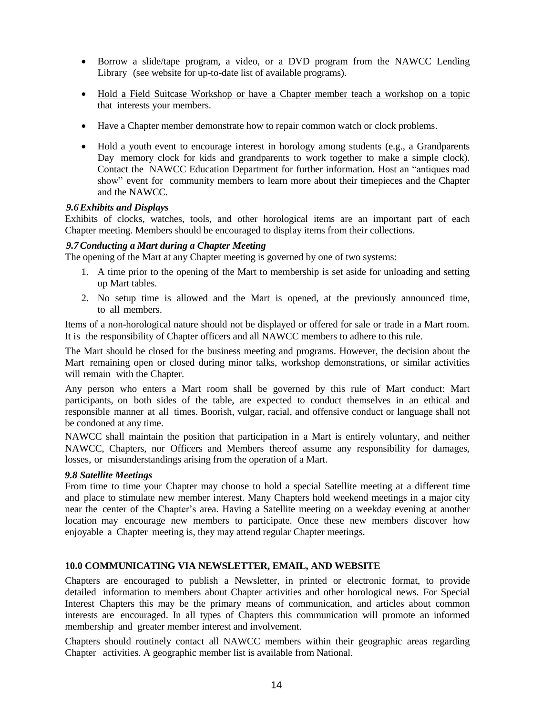- Borrow a slide/tape program, a video, or a DVD program from the NAWCC Lending Library (see website for up-to-date list of available programs).
- Hold a Field Suitcase Workshop or have a Chapter member teach a workshop on a topic that interests your members.
- Have a Chapter member demonstrate how to repair common watch or clock problems.
- Hold a youth event to encourage interest in horology among students (e.g., a Grandparents Day memory clock for kids and grandparents to work together to make a simple clock). Contact the NAWCC Education Department for further information. Host an "antiques road show" event for community members to learn more about their timepieces and the Chapter and the NAWCC.

#### *9.6Exhibits and Displays*

Exhibits of clocks, watches, tools, and other horological items are an important part of each Chapter meeting. Members should be encouraged to display items from their collections.

#### *9.7Conducting a Mart during a Chapter Meeting*

The opening of the Mart at any Chapter meeting is governed by one of two systems:

- 1. A time prior to the opening of the Mart to membership is set aside for unloading and setting up Mart tables.
- 2. No setup time is allowed and the Mart is opened, at the previously announced time, to all members.

Items of a non-horological nature should not be displayed or offered for sale or trade in a Mart room. It is the responsibility of Chapter officers and all NAWCC members to adhere to this rule.

The Mart should be closed for the business meeting and programs. However, the decision about the Mart remaining open or closed during minor talks, workshop demonstrations, or similar activities will remain with the Chapter.

Any person who enters a Mart room shall be governed by this rule of Mart conduct: Mart participants, on both sides of the table, are expected to conduct themselves in an ethical and responsible manner at all times. Boorish, vulgar, racial, and offensive conduct or language shall not be condoned at any time.

NAWCC shall maintain the position that participation in a Mart is entirely voluntary, and neither NAWCC, Chapters, nor Officers and Members thereof assume any responsibility for damages, losses, or misunderstandings arising from the operation of a Mart.

#### *9.8 Satellite Meetings*

From time to time your Chapter may choose to hold a special Satellite meeting at a different time and place to stimulate new member interest. Many Chapters hold weekend meetings in a major city near the center of the Chapter's area. Having a Satellite meeting on a weekday evening at another location may encourage new members to participate. Once these new members discover how enjoyable a Chapter meeting is, they may attend regular Chapter meetings.

#### **10.0 COMMUNICATING VIA NEWSLETTER, EMAIL, AND WEBSITE**

Chapters are encouraged to publish a Newsletter, in printed or electronic format, to provide detailed information to members about Chapter activities and other horological news. For Special Interest Chapters this may be the primary means of communication, and articles about common interests are encouraged. In all types of Chapters this communication will promote an informed membership and greater member interest and involvement.

Chapters should routinely contact all NAWCC members within their geographic areas regarding Chapter activities. A geographic member list is available from National.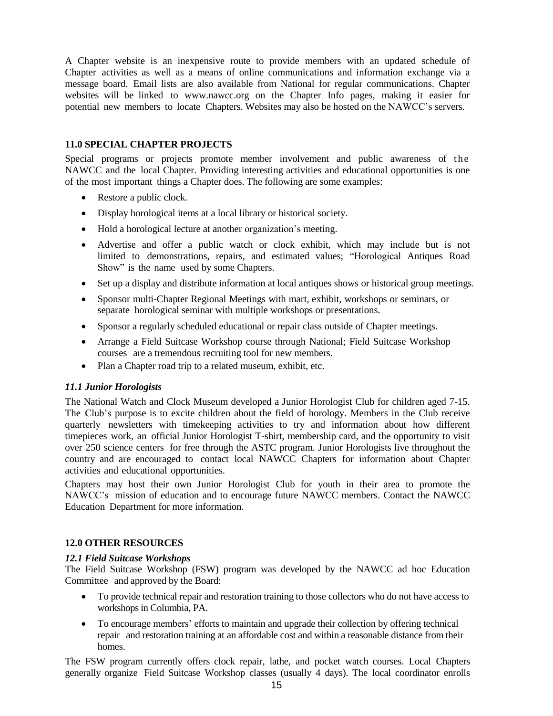A Chapter website is an inexpensive route to provide members with an updated schedule of Chapter activities as well as a means of online communications and information exchange via a message board. Email lists are also available from National for regular communications. Chapter websites will be linked to [www.nawcc.org](http://www.nawcc.org/) on the Chapter Info pages, making it easier for potential new members to locate Chapters. Websites may also be hosted on the NAWCC's servers.

### **11.0 SPECIAL CHAPTER PROJECTS**

Special programs or projects promote member involvement and public awareness of the NAWCC and the local Chapter. Providing interesting activities and educational opportunities is one of the most important things a Chapter does. The following are some examples:

- Restore a public clock.
- Display horological items at a local library or historical society.
- Hold a horological lecture at another organization's meeting.
- Advertise and offer a public watch or clock exhibit, which may include but is not limited to demonstrations, repairs, and estimated values; "Horological Antiques Road Show" is the name used by some Chapters.
- Set up a display and distribute information at local antiques shows or historical group meetings.
- Sponsor multi-Chapter Regional Meetings with mart, exhibit, workshops or seminars, or separate horological seminar with multiple workshops or presentations.
- Sponsor a regularly scheduled educational or repair class outside of Chapter meetings.
- Arrange a Field Suitcase Workshop course through National; Field Suitcase Workshop courses are a tremendous recruiting tool for new members.
- Plan a Chapter road trip to a related museum, exhibit, etc.

#### *11.1 Junior Horologists*

The National Watch and Clock Museum developed a Junior Horologist Club for children aged 7-15. The Club's purpose is to excite children about the field of horology. Members in the Club receive quarterly newsletters with timekeeping activities to try and information about how different timepieces work, an official Junior Horologist T-shirt, membership card, and the opportunity to visit over 250 science centers for free through the ASTC program. Junior Horologists live throughout the country and are encouraged to contact local NAWCC Chapters for information about Chapter activities and educational opportunities.

Chapters may host their own Junior Horologist Club for youth in their area to promote the NAWCC's mission of education and to encourage future NAWCC members. Contact the NAWCC Education Department for more information.

#### **12.0 OTHER RESOURCES**

#### *12.1 Field Suitcase Workshops*

The Field Suitcase Workshop (FSW) program was developed by the NAWCC ad hoc Education Committee and approved by the Board:

- To provide technical repair and restoration training to those collectors who do not have access to workshops in Columbia, PA.
- To encourage members' efforts to maintain and upgrade their collection by offering technical repair and restoration training at an affordable cost and within a reasonable distance from their homes.

The FSW program currently offers clock repair, lathe, and pocket watch courses. Local Chapters generally organize Field Suitcase Workshop classes (usually 4 days). The local coordinator enrolls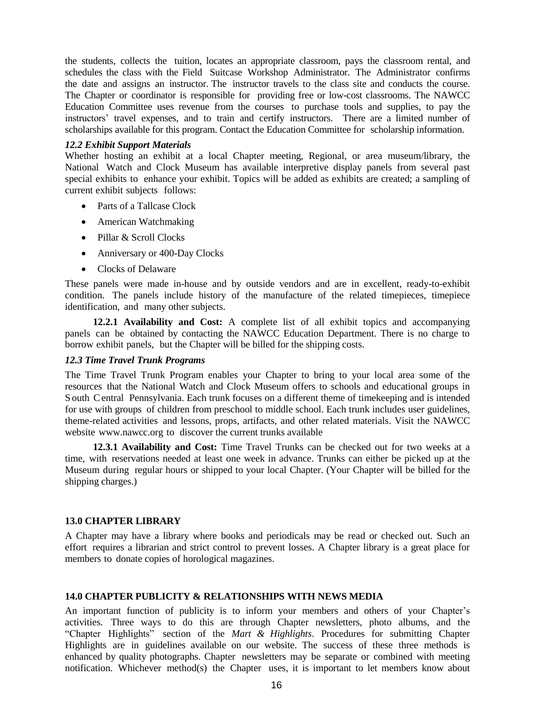the students, collects the tuition, locates an appropriate classroom, pays the classroom rental, and schedules the class with the Field Suitcase Workshop Administrator. The Administrator confirms the date and assigns an instructor. The instructor travels to the class site and conducts the course. The Chapter or coordinator is responsible for providing free or low-cost classrooms. The NAWCC Education Committee uses revenue from the courses to purchase tools and supplies, to pay the instructors' travel expenses, and to train and certify instructors. There are a limited number of scholarships available for this program. Contact the Education Committee for scholarship information.

#### *12.2 Exhibit Support Materials*

Whether hosting an exhibit at a local Chapter meeting, Regional, or area museum/library, the National Watch and Clock Museum has available interpretive display panels from several past special exhibits to enhance your exhibit. Topics will be added as exhibits are created; a sampling of current exhibit subjects follows:

- Parts of a Tallcase Clock
- American Watchmaking
- Pillar & Scroll Clocks
- Anniversary or 400-Day Clocks
- Clocks of Delaware

These panels were made in-house and by outside vendors and are in excellent, ready-to-exhibit condition. The panels include history of the manufacture of the related timepieces, timepiece identification, and many other subjects.

**12.2.1 Availability and Cost:** A complete list of all exhibit topics and accompanying panels can be obtained by contacting the NAWCC Education Department. There is no charge to borrow exhibit panels, but the Chapter will be billed for the shipping costs.

#### *12.3 Time Travel Trunk Programs*

The Time Travel Trunk Program enables your Chapter to bring to your local area some of the resources that the National Watch and Clock Museum offers to schools and educational groups in S outh Central Pennsylvania. Each trunk focuses on a different theme of timekeeping and is intended for use with groups of children from preschool to middle school. Each trunk includes user guidelines, theme-related activities and lessons, props, artifacts, and other related materials. Visit the NAWCC website [www.nawcc.org](http://www.nawcc.org/) to discover the current trunks available

**12.3.1 Availability and Cost:** Time Travel Trunks can be checked out for two weeks at a time, with reservations needed at least one week in advance. Trunks can either be picked up at the Museum during regular hours or shipped to your local Chapter. (Your Chapter will be billed for the shipping charges.)

#### **13.0 CHAPTER LIBRARY**

A Chapter may have a library where books and periodicals may be read or checked out. Such an effort requires a librarian and strict control to prevent losses. A Chapter library is a great place for members to donate copies of horological magazines.

#### **14.0 CHAPTER PUBLICITY & RELATIONSHIPS WITH NEWS MEDIA**

An important function of publicity is to inform your members and others of your Chapter's activities. Three ways to do this are through Chapter newsletters, photo albums, and the "Chapter Highlights" section of the *Mart & Highlights*. Procedures for submitting Chapter Highlights are in guidelines available on our website. The success of these three methods is enhanced by quality photographs. Chapter newsletters may be separate or combined with meeting notification. Whichever method(s) the Chapter uses, it is important to let members know about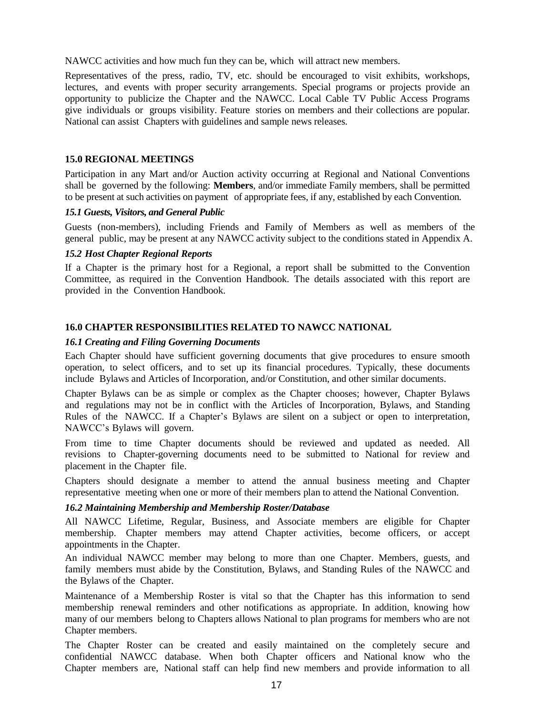NAWCC activities and how much fun they can be, which will attract new members.

Representatives of the press, radio, TV, etc. should be encouraged to visit exhibits, workshops, lectures, and events with proper security arrangements. Special programs or projects provide an opportunity to publicize the Chapter and the NAWCC. Local Cable TV Public Access Programs give individuals or groups visibility. Feature stories on members and their collections are popular. National can assist Chapters with guidelines and sample news releases.

#### **15.0 REGIONAL MEETINGS**

Participation in any Mart and/or Auction activity occurring at Regional and National Conventions shall be governed by the following: **Members**, and/or immediate Family members, shall be permitted to be present at such activities on payment of appropriate fees, if any, established by each Convention*.*

#### *15.1 Guests, Visitors, and General Public*

Guests (non-members), including Friends and Family of Members as well as members of the general public, may be present at any NAWCC activity subject to the conditions stated in Appendix A.

#### *15.2 Host Chapter Regional Reports*

If a Chapter is the primary host for a Regional, a report shall be submitted to the Convention Committee, as required in the Convention Handbook. The details associated with this report are provided in the Convention Handbook.

#### **16.0 CHAPTER RESPONSIBILITIES RELATED TO NAWCC NATIONAL**

#### *16.1 Creating and Filing Governing Documents*

Each Chapter should have sufficient governing documents that give procedures to ensure smooth operation, to select officers, and to set up its financial procedures. Typically, these documents include Bylaws and Articles of Incorporation, and/or Constitution, and other similar documents.

Chapter Bylaws can be as simple or complex as the Chapter chooses; however, Chapter Bylaws and regulations may not be in conflict with the Articles of Incorporation, Bylaws, and Standing Rules of the NAWCC. If a Chapter's Bylaws are silent on a subject or open to interpretation, NAWCC's Bylaws will govern.

From time to time Chapter documents should be reviewed and updated as needed. All revisions to Chapter-governing documents need to be submitted to National for review and placement in the Chapter file.

Chapters should designate a member to attend the annual business meeting and Chapter representative meeting when one or more of their members plan to attend the National Convention.

#### *16.2 Maintaining Membership and Membership Roster/Database*

All NAWCC Lifetime, Regular, Business, and Associate members are eligible for Chapter membership. Chapter members may attend Chapter activities, become officers, or accept appointments in the Chapter.

An individual NAWCC member may belong to more than one Chapter. Members, guests, and family members must abide by the Constitution, Bylaws, and Standing Rules of the NAWCC and the Bylaws of the Chapter.

Maintenance of a Membership Roster is vital so that the Chapter has this information to send membership renewal reminders and other notifications as appropriate. In addition, knowing how many of our members belong to Chapters allows National to plan programs for members who are not Chapter members.

The Chapter Roster can be created and easily maintained on the completely secure and confidential NAWCC database. When both Chapter officers and National know who the Chapter members are, National staff can help find new members and provide information to all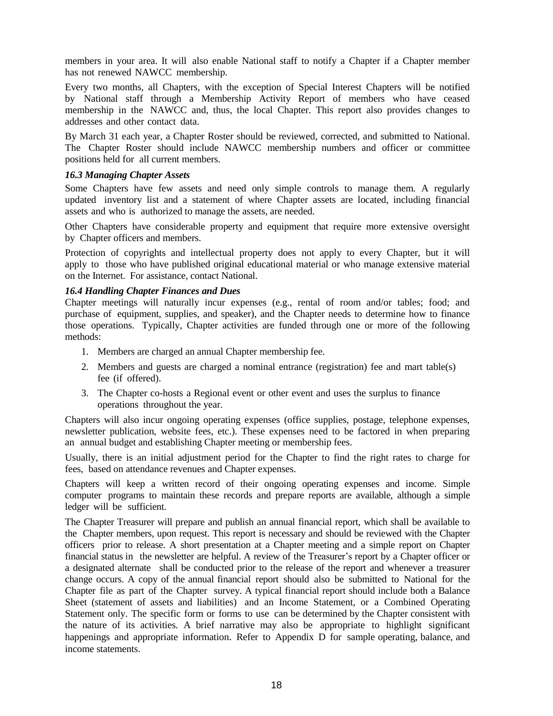members in your area. It will also enable National staff to notify a Chapter if a Chapter member has not renewed NAWCC membership.

Every two months, all Chapters, with the exception of Special Interest Chapters will be notified by National staff through a Membership Activity Report of members who have ceased membership in the NAWCC and, thus, the local Chapter. This report also provides changes to addresses and other contact data.

By March 31 each year, a Chapter Roster should be reviewed, corrected, and submitted to National. The Chapter Roster should include NAWCC membership numbers and officer or committee positions held for all current members.

#### *16.3 Managing Chapter Assets*

Some Chapters have few assets and need only simple controls to manage them. A regularly updated inventory list and a statement of where Chapter assets are located, including financial assets and who is authorized to manage the assets, are needed.

Other Chapters have considerable property and equipment that require more extensive oversight by Chapter officers and members.

Protection of copyrights and intellectual property does not apply to every Chapter, but it will apply to those who have published original educational material or who manage extensive material on the Internet. For assistance, contact National.

#### *16.4 Handling Chapter Finances and Dues*

Chapter meetings will naturally incur expenses (e.g., rental of room and/or tables; food; and purchase of equipment, supplies, and speaker), and the Chapter needs to determine how to finance those operations. Typically, Chapter activities are funded through one or more of the following methods:

- 1. Members are charged an annual Chapter membership fee.
- 2. Members and guests are charged a nominal entrance (registration) fee and mart table(s) fee (if offered).
- 3. The Chapter co-hosts a Regional event or other event and uses the surplus to finance operations throughout the year.

Chapters will also incur ongoing operating expenses (office supplies, postage, telephone expenses, newsletter publication, website fees, etc.). These expenses need to be factored in when preparing an annual budget and establishing Chapter meeting or membership fees.

Usually, there is an initial adjustment period for the Chapter to find the right rates to charge for fees, based on attendance revenues and Chapter expenses.

Chapters will keep a written record of their ongoing operating expenses and income. Simple computer programs to maintain these records and prepare reports are available, although a simple ledger will be sufficient.

The Chapter Treasurer will prepare and publish an annual financial report, which shall be available to the Chapter members, upon request. This report is necessary and should be reviewed with the Chapter officers prior to release. A short presentation at a Chapter meeting and a simple report on Chapter financial status in the newsletter are helpful. A review of the Treasurer's report by a Chapter officer or a designated alternate shall be conducted prior to the release of the report and whenever a treasurer change occurs. A copy of the annual financial report should also be submitted to National for the Chapter file as part of the Chapter survey. A typical financial report should include both a Balance Sheet (statement of assets and liabilities) and an Income Statement, or a Combined Operating Statement only. The specific form or forms to use can be determined by the Chapter consistent with the nature of its activities. A brief narrative may also be appropriate to highlight significant happenings and appropriate information. Refer to Appendix D for sample operating, balance, and income statements.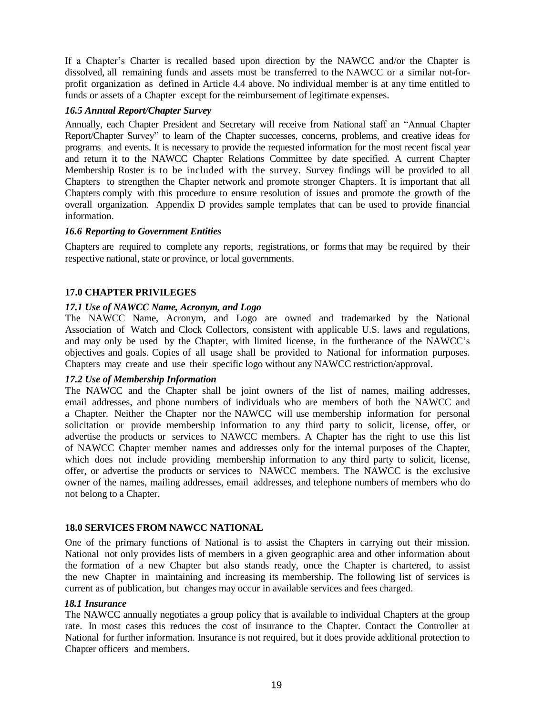If a Chapter's Charter is recalled based upon direction by the NAWCC and/or the Chapter is dissolved, all remaining funds and assets must be transferred to the NAWCC or a similar not-forprofit organization as defined in Article 4.4 above. No individual member is at any time entitled to funds or assets of a Chapter except for the reimbursement of legitimate expenses.

#### *16.5 Annual Report/Chapter Survey*

Annually, each Chapter President and Secretary will receive from National staff an "Annual Chapter Report/Chapter Survey" to learn of the Chapter successes, concerns, problems, and creative ideas for programs and events. It is necessary to provide the requested information for the most recent fiscal year and return it to the NAWCC Chapter Relations Committee by date specified. A current Chapter Membership Roster is to be included with the survey. Survey findings will be provided to all Chapters to strengthen the Chapter network and promote stronger Chapters. It is important that all Chapters comply with this procedure to ensure resolution of issues and promote the growth of the overall organization. Appendix D provides sample templates that can be used to provide financial information.

#### *16.6 Reporting to Government Entities*

Chapters are required to complete any reports, registrations, or forms that may be required by their respective national, state or province, or local governments.

#### **17.0 CHAPTER PRIVILEGES**

#### *17.1 Use of NAWCC Name, Acronym, and Logo*

The NAWCC Name, Acronym, and Logo are owned and trademarked by the National Association of Watch and Clock Collectors, consistent with applicable U.S. laws and regulations, and may only be used by the Chapter, with limited license, in the furtherance of the NAWCC's objectives and goals. Copies of all usage shall be provided to National for information purposes. Chapters may create and use their specific logo without any NAWCC restriction/approval.

#### *17.2 Use of Membership Information*

The NAWCC and the Chapter shall be joint owners of the list of names, mailing addresses, email addresses, and phone numbers of individuals who are members of both the NAWCC and a Chapter. Neither the Chapter nor the NAWCC will use membership information for personal solicitation or provide membership information to any third party to solicit, license, offer, or advertise the products or services to NAWCC members. A Chapter has the right to use this list of NAWCC Chapter member names and addresses only for the internal purposes of the Chapter, which does not include providing membership information to any third party to solicit, license, offer, or advertise the products or services to NAWCC members. The NAWCC is the exclusive owner of the names, mailing addresses, email addresses, and telephone numbers of members who do not belong to a Chapter.

#### **18.0 SERVICES FROM NAWCC NATIONAL**

One of the primary functions of National is to assist the Chapters in carrying out their mission. National not only provides lists of members in a given geographic area and other information about the formation of a new Chapter but also stands ready, once the Chapter is chartered, to assist the new Chapter in maintaining and increasing its membership. The following list of services is current as of publication, but changes may occur in available services and fees charged.

#### *18.1 Insurance*

The NAWCC annually negotiates a group policy that is available to individual Chapters at the group rate. In most cases this reduces the cost of insurance to the Chapter. Contact the Controller at National for further information. Insurance is not required, but it does provide additional protection to Chapter officers and members.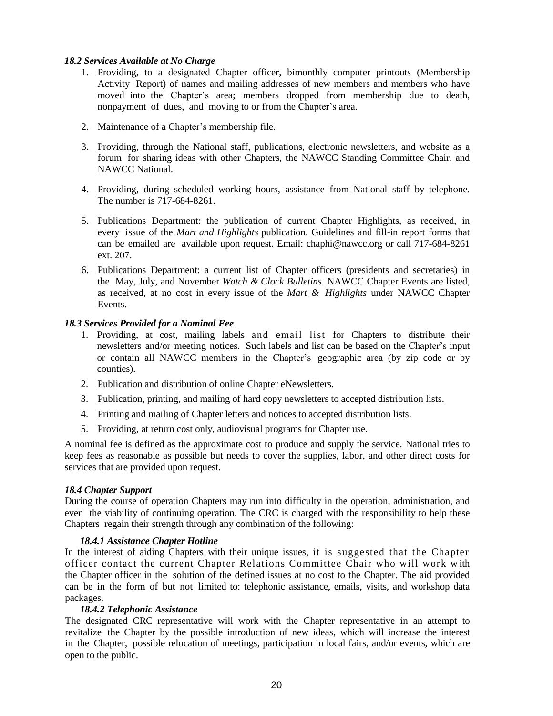#### *18.2 Services Available at No Charge*

- 1. Providing, to a designated Chapter officer, bimonthly computer printouts (Membership Activity Report) of names and mailing addresses of new members and members who have moved into the Chapter's area; members dropped from membership due to death, nonpayment of dues, and moving to or from the Chapter's area.
- 2. Maintenance of a Chapter's membership file.
- 3. Providing, through the National staff, publications, electronic newsletters, and website as a forum for sharing ideas with other Chapters, the NAWCC Standing Committee Chair, and NAWCC National.
- 4. Providing, during scheduled working hours, assistance from National staff by telephone. The number is 717-684-8261.
- 5. Publications Department: the publication of current Chapter Highlights, as received, in every issue of the *Mart and Highlights* publication. Guidelines and fill-in report forms that can be emailed are available upon request. Email: [chaphi@nawcc.org](mailto:chaphi@nawcc.org) or call 717-684-8261 ext. 207.
- 6. Publications Department: a current list of Chapter officers (presidents and secretaries) in the May, July, and November *Watch & Clock Bulletins*. NAWCC Chapter Events are listed, as received, at no cost in every issue of the *Mart & Highlights* under NAWCC Chapter Events.

#### *18.3 Services Provided for a Nominal Fee*

- 1. Providing, at cost, mailing labels and email list for Chapters to distribute their newsletters and/or meeting notices. Such labels and list can be based on the Chapter's input or contain all NAWCC members in the Chapter's geographic area (by zip code or by counties).
- 2. Publication and distribution of online Chapter eNewsletters.
- 3. Publication, printing, and mailing of hard copy newsletters to accepted distribution lists.
- 4. Printing and mailing of Chapter letters and notices to accepted distribution lists.
- 5. Providing, at return cost only, audiovisual programs for Chapter use.

A nominal fee is defined as the approximate cost to produce and supply the service. National tries to keep fees as reasonable as possible but needs to cover the supplies, labor, and other direct costs for services that are provided upon request.

#### *18.4 Chapter Support*

During the course of operation Chapters may run into difficulty in the operation, administration, and even the viability of continuing operation. The CRC is charged with the responsibility to help these Chapters regain their strength through any combination of the following:

#### *18.4.1 Assistance Chapter Hotline*

In the interest of aiding Chapters with their unique issues, it is suggested that the Chapter officer contact the current Chapter Relations Committee Chair who will work w ith the Chapter officer in the solution of the defined issues at no cost to the Chapter. The aid provided can be in the form of but not limited to: telephonic assistance, emails, visits, and workshop data packages.

#### *18.4.2 Telephonic Assistance*

The designated CRC representative will work with the Chapter representative in an attempt to revitalize the Chapter by the possible introduction of new ideas, which will increase the interest in the Chapter, possible relocation of meetings, participation in local fairs, and/or events, which are open to the public.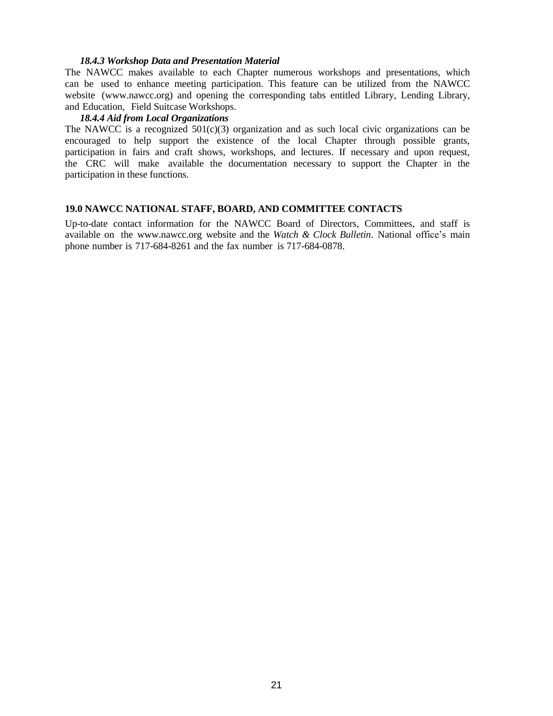#### *18.4.3 Workshop Data and Presentation Material*

The NAWCC makes available to each Chapter numerous workshops and presentations, which can be used to enhance meeting participation. This feature can be utilized from the NAWCC website [\(www.nawcc.org\)](http://www.nawcc.org/) and opening the corresponding tabs entitled Library, Lending Library, and Education, Field Suitcase Workshops.

#### *18.4.4 Aid from Local Organizations*

The NAWCC is a recognized  $501(c)(3)$  organization and as such local civic organizations can be encouraged to help support the existence of the local Chapter through possible grants, participation in fairs and craft shows, workshops, and lectures. If necessary and upon request, the CRC will make available the documentation necessary to support the Chapter in the participation in these functions.

#### **19.0 NAWCC NATIONAL STAFF, BOARD, AND COMMITTEE CONTACTS**

Up-to-date contact information for the NAWCC Board of Directors, Committees, and staff is available on the [www.nawcc.org](http://www.nawcc.org/) website and the *Watch & Clock Bulletin*. National office's main phone number is 717-684-8261 and the fax number is 717-684-0878.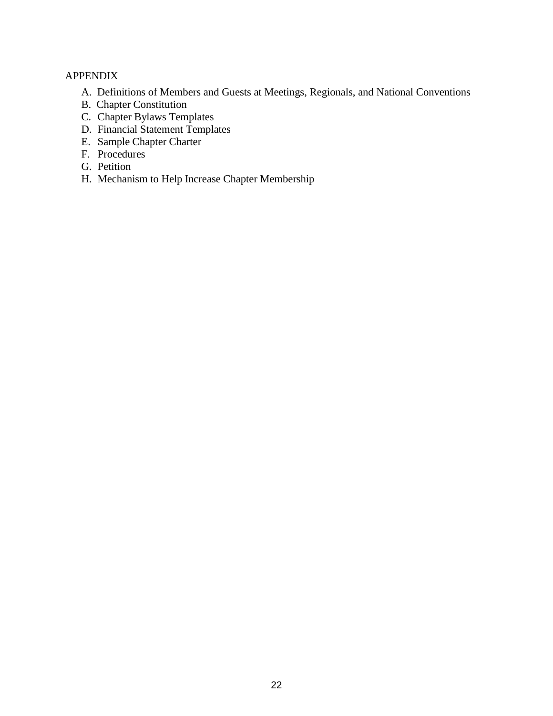# APPENDIX

- A. Definitions of Members and Guests at Meetings, Regionals, and National Conventions
- B. Chapter Constitution
- C. Chapter Bylaws Templates
- D. Financial Statement Templates
- E. Sample Chapter Charter
- F. Procedures
- G. Petition
- H. Mechanism to Help Increase Chapter Membership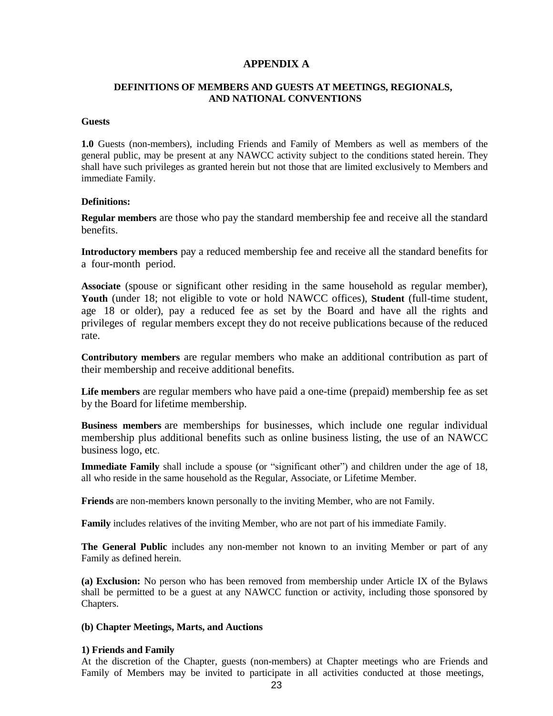# **APPENDIX A**

#### **DEFINITIONS OF MEMBERS AND GUESTS AT MEETINGS, REGIONALS, AND NATIONAL CONVENTIONS**

#### **Guests**

**1.0** Guests (non-members), including Friends and Family of Members as well as members of the general public, may be present at any NAWCC activity subject to the conditions stated herein. They shall have such privileges as granted herein but not those that are limited exclusively to Members and immediate Family.

#### **Definitions:**

**Regular members** are those who pay the standard membership fee and receive all the standard benefits.

**Introductory members** pay a reduced membership fee and receive all the standard benefits for a four-month period.

**Associate** (spouse or significant other residing in the same household as regular member), **Youth** (under 18; not eligible to vote or hold NAWCC offices), **Student** (full-time student, age 18 or older), pay a reduced fee as set by the Board and have all the rights and privileges of regular members except they do not receive publications because of the reduced rate.

**Contributory members** are regular members who make an additional contribution as part of their membership and receive additional benefits.

**Life members** are regular members who have paid a one-time (prepaid) membership fee as set by the Board for lifetime membership.

**Business members** are memberships for businesses, which include one regular individual membership plus additional benefits such as online business listing, the use of an NAWCC business logo, etc.

**Immediate Family** shall include a spouse (or "significant other") and children under the age of 18, all who reside in the same household as the Regular, Associate, or Lifetime Member.

**Friends** are non-members known personally to the inviting Member, who are not Family.

**Family** includes relatives of the inviting Member, who are not part of his immediate Family.

**The General Public** includes any non-member not known to an inviting Member or part of any Family as defined herein.

**(a) Exclusion:** No person who has been removed from membership under Article IX of the Bylaws shall be permitted to be a guest at any NAWCC function or activity, including those sponsored by Chapters.

#### **(b) Chapter Meetings, Marts, and Auctions**

#### **1) Friends and Family**

At the discretion of the Chapter, guests (non-members) at Chapter meetings who are Friends and Family of Members may be invited to participate in all activities conducted at those meetings,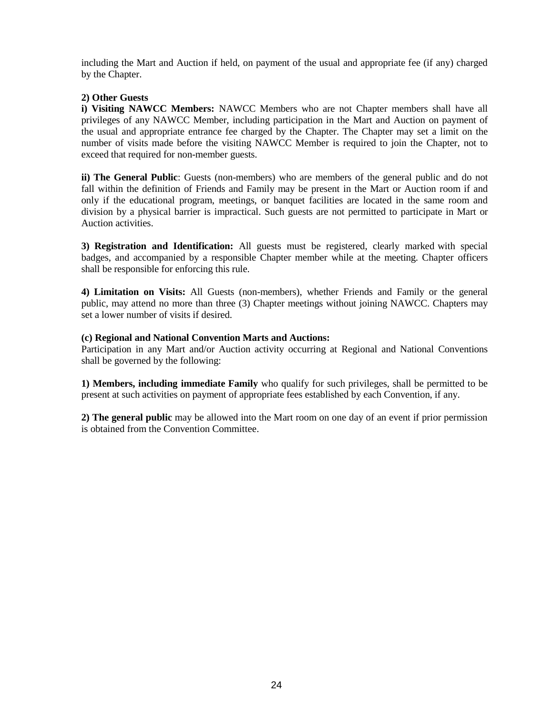including the Mart and Auction if held, on payment of the usual and appropriate fee (if any) charged by the Chapter.

#### **2) Other Guests**

**i) Visiting NAWCC Members:** NAWCC Members who are not Chapter members shall have all privileges of any NAWCC Member, including participation in the Mart and Auction on payment of the usual and appropriate entrance fee charged by the Chapter. The Chapter may set a limit on the number of visits made before the visiting NAWCC Member is required to join the Chapter, not to exceed that required for non-member guests.

**ii) The General Public**: Guests (non-members) who are members of the general public and do not fall within the definition of Friends and Family may be present in the Mart or Auction room if and only if the educational program, meetings, or banquet facilities are located in the same room and division by a physical barrier is impractical. Such guests are not permitted to participate in Mart or Auction activities.

**3) Registration and Identification:** All guests must be registered, clearly marked with special badges, and accompanied by a responsible Chapter member while at the meeting. Chapter officers shall be responsible for enforcing this rule.

**4) Limitation on Visits:** All Guests (non-members), whether Friends and Family or the general public, may attend no more than three (3) Chapter meetings without joining NAWCC. Chapters may set a lower number of visits if desired.

#### **(c) Regional and National Convention Marts and Auctions:**

Participation in any Mart and/or Auction activity occurring at Regional and National Conventions shall be governed by the following:

**1) Members, including immediate Family** who qualify for such privileges, shall be permitted to be present at such activities on payment of appropriate fees established by each Convention, if any.

**2) The general public** may be allowed into the Mart room on one day of an event if prior permission is obtained from the Convention Committee.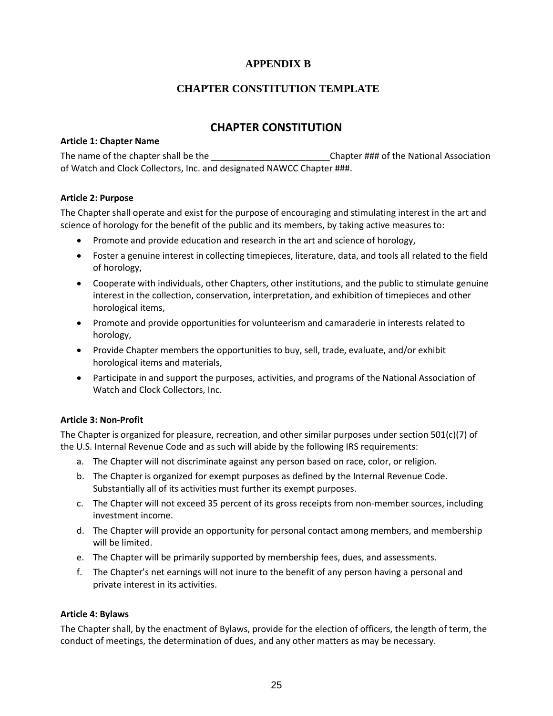# **APPENDIX B**

# **CHAPTER CONSTITUTION TEMPLATE**

# **CHAPTER CONSTITUTION**

#### **Article 1: Chapter Name**

The name of the chapter shall be the \_\_\_\_\_\_\_\_\_\_\_\_\_\_\_\_\_\_\_\_\_\_\_\_\_\_\_\_\_Chapter ### of the National Association of Watch and Clock Collectors, Inc. and designated NAWCC Chapter ###.

#### **Article 2: Purpose**

The Chapter shall operate and exist for the purpose of encouraging and stimulating interest in the art and science of horology for the benefit of the public and its members, by taking active measures to:

- Promote and provide education and research in the art and science of horology,
- Foster a genuine interest in collecting timepieces, literature, data, and tools all related to the field of horology,
- Cooperate with individuals, other Chapters, other institutions, and the public to stimulate genuine interest in the collection, conservation, interpretation, and exhibition of timepieces and other horological items,
- Promote and provide opportunities for volunteerism and camaraderie in interests related to horology,
- Provide Chapter members the opportunities to buy, sell, trade, evaluate, and/or exhibit horological items and materials,
- Participate in and support the purposes, activities, and programs of the National Association of Watch and Clock Collectors, Inc.

#### **Article 3: Non-Profit**

The Chapter is organized for pleasure, recreation, and other similar purposes under section 501(c)(7) of the U.S. Internal Revenue Code and as such will abide by the following IRS requirements:

- a. The Chapter will not discriminate against any person based on race, color, or religion.
- b. The Chapter is organized for exempt purposes as defined by the Internal Revenue Code. Substantially all of its activities must further its exempt purposes.
- c. The Chapter will not exceed 35 percent of its gross receipts from non-member sources, including investment income.
- d. The Chapter will provide an opportunity for personal contact among members, and membership will be limited.
- e. The Chapter will be primarily supported by membership fees, dues, and assessments.
- f. The Chapter's net earnings will not inure to the benefit of any person having a personal and private interest in its activities.

#### **Article 4: Bylaws**

The Chapter shall, by the enactment of Bylaws, provide for the election of officers, the length of term, the conduct of meetings, the determination of dues, and any other matters as may be necessary.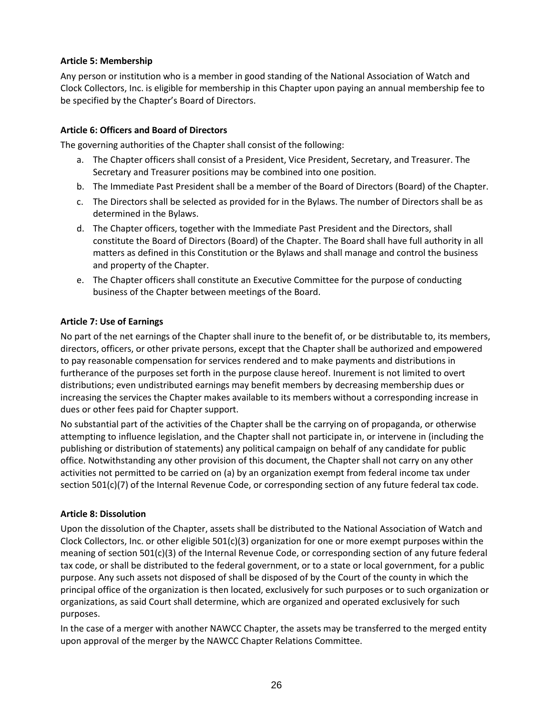# **Article 5: Membership**

Any person or institution who is a member in good standing of the National Association of Watch and Clock Collectors, Inc. is eligible for membership in this Chapter upon paying an annual membership fee to be specified by the Chapter's Board of Directors.

#### **Article 6: Officers and Board of Directors**

The governing authorities of the Chapter shall consist of the following:

- a. The Chapter officers shall consist of a President, Vice President, Secretary, and Treasurer. The Secretary and Treasurer positions may be combined into one position.
- b. The Immediate Past President shall be a member of the Board of Directors (Board) of the Chapter.
- c. The Directors shall be selected as provided for in the Bylaws. The number of Directors shall be as determined in the Bylaws.
- d. The Chapter officers, together with the Immediate Past President and the Directors, shall constitute the Board of Directors (Board) of the Chapter. The Board shall have full authority in all matters as defined in this Constitution or the Bylaws and shall manage and control the business and property of the Chapter.
- e. The Chapter officers shall constitute an Executive Committee for the purpose of conducting business of the Chapter between meetings of the Board.

#### **Article 7: Use of Earnings**

No part of the net earnings of the Chapter shall inure to the benefit of, or be distributable to, its members, directors, officers, or other private persons, except that the Chapter shall be authorized and empowered to pay reasonable compensation for services rendered and to make payments and distributions in furtherance of the purposes set forth in the purpose clause hereof. Inurement is not limited to overt distributions; even undistributed earnings may benefit members by decreasing membership dues or increasing the services the Chapter makes available to its members without a corresponding increase in dues or other fees paid for Chapter support.

No substantial part of the activities of the Chapter shall be the carrying on of propaganda, or otherwise attempting to influence legislation, and the Chapter shall not participate in, or intervene in (including the publishing or distribution of statements) any political campaign on behalf of any candidate for public office. Notwithstanding any other provision of this document, the Chapter shall not carry on any other activities not permitted to be carried on (a) by an organization exempt from federal income tax under section 501(c)(7) of the Internal Revenue Code, or corresponding section of any future federal tax code.

#### **Article 8: Dissolution**

Upon the dissolution of the Chapter, assets shall be distributed to the National Association of Watch and Clock Collectors, Inc. or other eligible 501(c)(3) organization for one or more exempt purposes within the meaning of section 501(c)(3) of the Internal Revenue Code, or corresponding section of any future federal tax code, or shall be distributed to the federal government, or to a state or local government, for a public purpose. Any such assets not disposed of shall be disposed of by the Court of the county in which the principal office of the organization is then located, exclusively for such purposes or to such organization or organizations, as said Court shall determine, which are organized and operated exclusively for such purposes.

In the case of a merger with another NAWCC Chapter, the assets may be transferred to the merged entity upon approval of the merger by the NAWCC Chapter Relations Committee.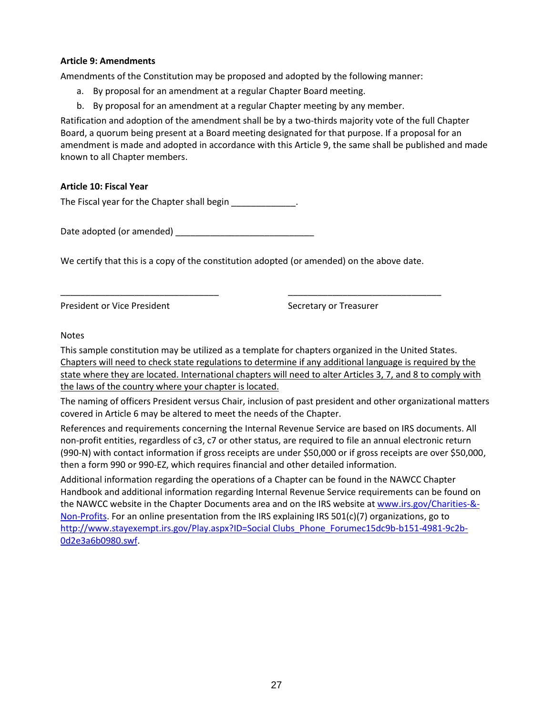#### **Article 9: Amendments**

Amendments of the Constitution may be proposed and adopted by the following manner:

- a. By proposal for an amendment at a regular Chapter Board meeting.
- b. By proposal for an amendment at a regular Chapter meeting by any member.

Ratification and adoption of the amendment shall be by a two-thirds majority vote of the full Chapter Board, a quorum being present at a Board meeting designated for that purpose. If a proposal for an amendment is made and adopted in accordance with this Article 9, the same shall be published and made known to all Chapter members.

### **Article 10: Fiscal Year**

The Fiscal year for the Chapter shall begin \_\_\_\_\_\_\_\_\_\_\_\_\_.

Date adopted (or amended) \_\_\_\_\_\_\_\_\_\_\_\_\_\_\_\_\_\_\_\_\_\_\_\_\_\_\_\_

We certify that this is a copy of the constitution adopted (or amended) on the above date.

\_\_\_\_\_\_\_\_\_\_\_\_\_\_\_\_\_\_\_\_\_\_\_\_\_\_\_\_\_\_\_\_ \_\_\_\_\_\_\_\_\_\_\_\_\_\_\_\_\_\_\_\_\_\_\_\_\_\_\_\_\_\_\_

President or Vice President Secretary or Treasurer

#### Notes

This sample constitution may be utilized as a template for chapters organized in the United States. Chapters will need to check state regulations to determine if any additional language is required by the state where they are located. International chapters will need to alter Articles 3, 7, and 8 to comply with the laws of the country where your chapter is located.

The naming of officers President versus Chair, inclusion of past president and other organizational matters covered in Article 6 may be altered to meet the needs of the Chapter.

References and requirements concerning the Internal Revenue Service are based on IRS documents. All non-profit entities, regardless of c3, c7 or other status, are required to file an annual electronic return (990-N) with contact information if gross receipts are under \$50,000 or if gross receipts are over \$50,000, then a form 990 or 990-EZ, which requires financial and other detailed information.

Additional information regarding the operations of a Chapter can be found in the NAWCC Chapter Handbook and additional information regarding Internal Revenue Service requirements can be found on the NAWCC website in the Chapter Documents area and on the IRS website at [www.irs.gov/Charities-&-](http://www.irs.gov/Charities-&-Non-Profits) [Non-Profits.](http://www.irs.gov/Charities-&-Non-Profits) For an online presentation from the IRS explaining IRS 501(c)(7) organizations, go to [http://www.stayexempt.irs.gov/Play.aspx?ID=Social Clubs\\_Phone\\_Forumec15dc9b-b151-4981-9c2b-](http://www.stayexempt.irs.gov/Play.aspx?ID=Social%20Clubs_Phone_Forumec15dc9b-b151-4981-9c2b-0d2e3a6b0980.swf)[0d2e3a6b0980.swf.](http://www.stayexempt.irs.gov/Play.aspx?ID=Social%20Clubs_Phone_Forumec15dc9b-b151-4981-9c2b-0d2e3a6b0980.swf)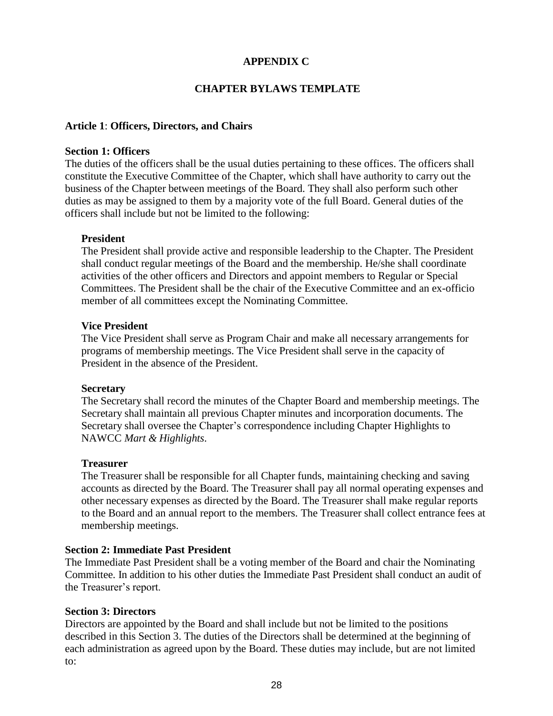# **APPENDIX C**

# **CHAPTER BYLAWS TEMPLATE**

# **Article 1**: **Officers, Directors, and Chairs**

#### **Section 1: Officers**

The duties of the officers shall be the usual duties pertaining to these offices. The officers shall constitute the Executive Committee of the Chapter, which shall have authority to carry out the business of the Chapter between meetings of the Board. They shall also perform such other duties as may be assigned to them by a majority vote of the full Board. General duties of the officers shall include but not be limited to the following:

### **President**

The President shall provide active and responsible leadership to the Chapter. The President shall conduct regular meetings of the Board and the membership. He/she shall coordinate activities of the other officers and Directors and appoint members to Regular or Special Committees. The President shall be the chair of the Executive Committee and an ex-officio member of all committees except the Nominating Committee.

### **Vice President**

The Vice President shall serve as Program Chair and make all necessary arrangements for programs of membership meetings. The Vice President shall serve in the capacity of President in the absence of the President.

#### **Secretary**

The Secretary shall record the minutes of the Chapter Board and membership meetings. The Secretary shall maintain all previous Chapter minutes and incorporation documents. The Secretary shall oversee the Chapter's correspondence including Chapter Highlights to NAWCC *Mart & Highlights*.

#### **Treasurer**

The Treasurer shall be responsible for all Chapter funds, maintaining checking and saving accounts as directed by the Board. The Treasurer shall pay all normal operating expenses and other necessary expenses as directed by the Board. The Treasurer shall make regular reports to the Board and an annual report to the members. The Treasurer shall collect entrance fees at membership meetings.

#### **Section 2: Immediate Past President**

The Immediate Past President shall be a voting member of the Board and chair the Nominating Committee. In addition to his other duties the Immediate Past President shall conduct an audit of the Treasurer's report.

# **Section 3: Directors**

Directors are appointed by the Board and shall include but not be limited to the positions described in this Section 3. The duties of the Directors shall be determined at the beginning of each administration as agreed upon by the Board. These duties may include, but are not limited to: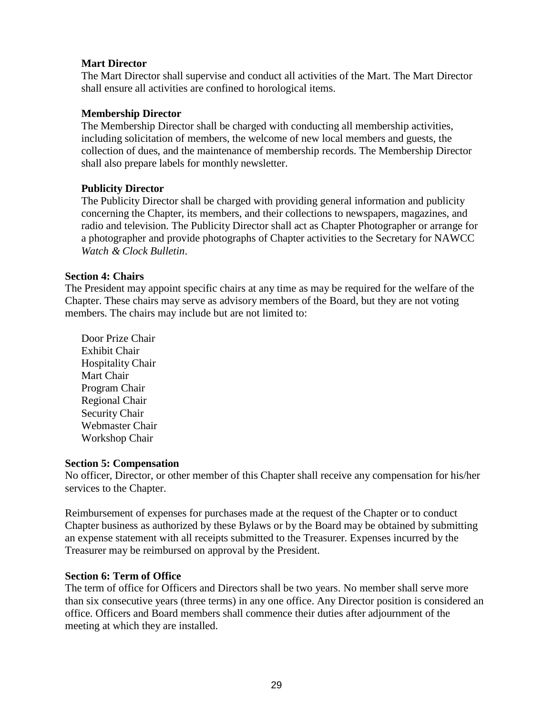# **Mart Director**

The Mart Director shall supervise and conduct all activities of the Mart. The Mart Director shall ensure all activities are confined to horological items.

# **Membership Director**

The Membership Director shall be charged with conducting all membership activities, including solicitation of members, the welcome of new local members and guests, the collection of dues, and the maintenance of membership records. The Membership Director shall also prepare labels for monthly newsletter.

# **Publicity Director**

The Publicity Director shall be charged with providing general information and publicity concerning the Chapter, its members, and their collections to newspapers, magazines, and radio and television. The Publicity Director shall act as Chapter Photographer or arrange for a photographer and provide photographs of Chapter activities to the Secretary for NAWCC *Watch & Clock Bulletin*.

# **Section 4: Chairs**

The President may appoint specific chairs at any time as may be required for the welfare of the Chapter. These chairs may serve as advisory members of the Board, but they are not voting members. The chairs may include but are not limited to:

Door Prize Chair Exhibit Chair Hospitality Chair Mart Chair Program Chair Regional Chair Security Chair Webmaster Chair Workshop Chair

# **Section 5: Compensation**

No officer, Director, or other member of this Chapter shall receive any compensation for his/her services to the Chapter.

Reimbursement of expenses for purchases made at the request of the Chapter or to conduct Chapter business as authorized by these Bylaws or by the Board may be obtained by submitting an expense statement with all receipts submitted to the Treasurer. Expenses incurred by the Treasurer may be reimbursed on approval by the President.

# **Section 6: Term of Office**

The term of office for Officers and Directors shall be two years. No member shall serve more than six consecutive years (three terms) in any one office. Any Director position is considered an office. Officers and Board members shall commence their duties after adjournment of the meeting at which they are installed.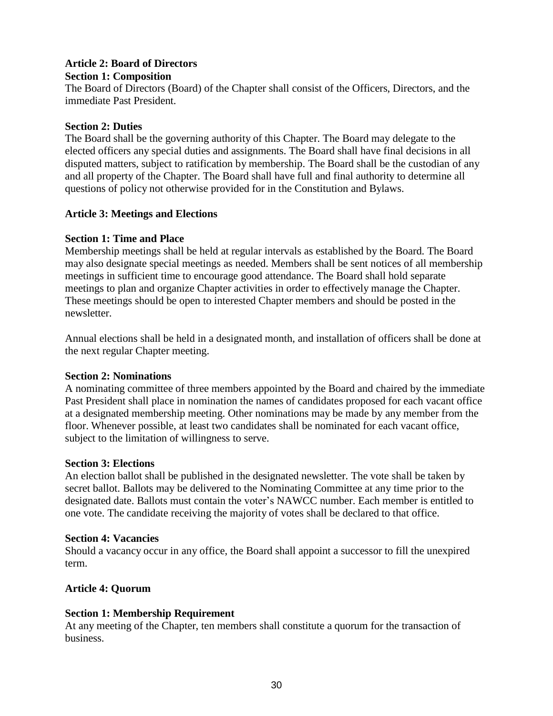# **Article 2: Board of Directors**

# **Section 1: Composition**

The Board of Directors (Board) of the Chapter shall consist of the Officers, Directors, and the immediate Past President.

# **Section 2: Duties**

The Board shall be the governing authority of this Chapter. The Board may delegate to the elected officers any special duties and assignments. The Board shall have final decisions in all disputed matters, subject to ratification by membership. The Board shall be the custodian of any and all property of the Chapter. The Board shall have full and final authority to determine all questions of policy not otherwise provided for in the Constitution and Bylaws.

# **Article 3: Meetings and Elections**

# **Section 1: Time and Place**

Membership meetings shall be held at regular intervals as established by the Board. The Board may also designate special meetings as needed. Members shall be sent notices of all membership meetings in sufficient time to encourage good attendance. The Board shall hold separate meetings to plan and organize Chapter activities in order to effectively manage the Chapter. These meetings should be open to interested Chapter members and should be posted in the newsletter.

Annual elections shall be held in a designated month, and installation of officers shall be done at the next regular Chapter meeting.

# **Section 2: Nominations**

A nominating committee of three members appointed by the Board and chaired by the immediate Past President shall place in nomination the names of candidates proposed for each vacant office at a designated membership meeting. Other nominations may be made by any member from the floor. Whenever possible, at least two candidates shall be nominated for each vacant office, subject to the limitation of willingness to serve.

# **Section 3: Elections**

An election ballot shall be published in the designated newsletter. The vote shall be taken by secret ballot. Ballots may be delivered to the Nominating Committee at any time prior to the designated date. Ballots must contain the voter's NAWCC number. Each member is entitled to one vote. The candidate receiving the majority of votes shall be declared to that office.

# **Section 4: Vacancies**

Should a vacancy occur in any office, the Board shall appoint a successor to fill the unexpired term.

# **Article 4: Quorum**

# **Section 1: Membership Requirement**

At any meeting of the Chapter, ten members shall constitute a quorum for the transaction of business.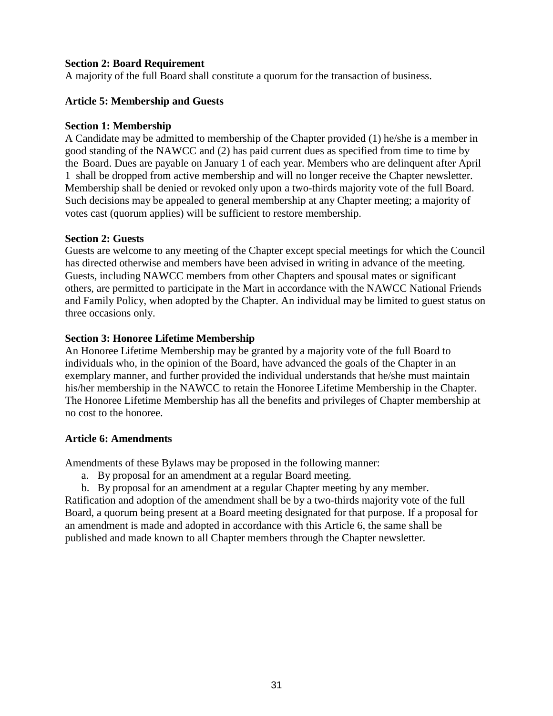# **Section 2: Board Requirement**

A majority of the full Board shall constitute a quorum for the transaction of business.

# **Article 5: Membership and Guests**

# **Section 1: Membership**

A Candidate may be admitted to membership of the Chapter provided (1) he/she is a member in good standing of the NAWCC and (2) has paid current dues as specified from time to time by the Board. Dues are payable on January 1 of each year. Members who are delinquent after April 1 shall be dropped from active membership and will no longer receive the Chapter newsletter. Membership shall be denied or revoked only upon a two-thirds majority vote of the full Board. Such decisions may be appealed to general membership at any Chapter meeting; a majority of votes cast (quorum applies) will be sufficient to restore membership.

# **Section 2: Guests**

Guests are welcome to any meeting of the Chapter except special meetings for which the Council has directed otherwise and members have been advised in writing in advance of the meeting. Guests, including NAWCC members from other Chapters and spousal mates or significant others, are permitted to participate in the Mart in accordance with the NAWCC National Friends and Family Policy, when adopted by the Chapter. An individual may be limited to guest status on three occasions only.

# **Section 3: Honoree Lifetime Membership**

An Honoree Lifetime Membership may be granted by a majority vote of the full Board to individuals who, in the opinion of the Board, have advanced the goals of the Chapter in an exemplary manner, and further provided the individual understands that he/she must maintain his/her membership in the NAWCC to retain the Honoree Lifetime Membership in the Chapter. The Honoree Lifetime Membership has all the benefits and privileges of Chapter membership at no cost to the honoree.

# **Article 6: Amendments**

Amendments of these Bylaws may be proposed in the following manner:

- a. By proposal for an amendment at a regular Board meeting.
- b. By proposal for an amendment at a regular Chapter meeting by any member.

Ratification and adoption of the amendment shall be by a two-thirds majority vote of the full Board, a quorum being present at a Board meeting designated for that purpose. If a proposal for an amendment is made and adopted in accordance with this Article 6, the same shall be published and made known to all Chapter members through the Chapter newsletter.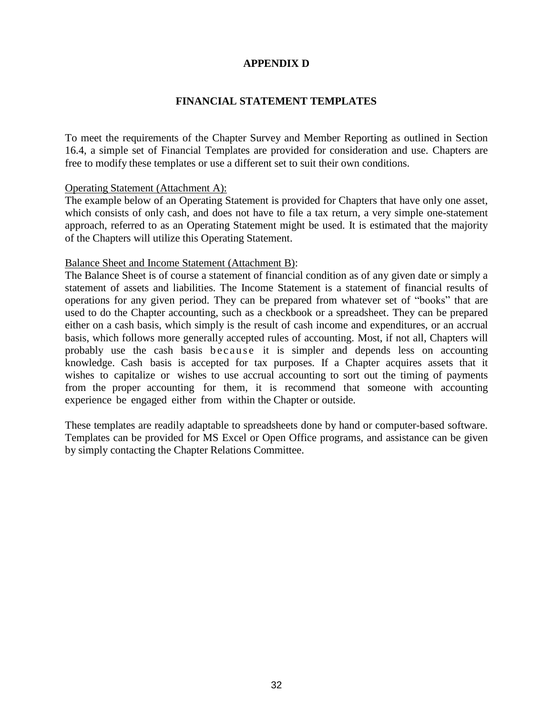# **APPENDIX D**

# **FINANCIAL STATEMENT TEMPLATES**

To meet the requirements of the Chapter Survey and Member Reporting as outlined in Section 16.4, a simple set of Financial Templates are provided for consideration and use. Chapters are free to modify these templates or use a different set to suit their own conditions.

### Operating Statement (Attachment A):

The example below of an Operating Statement is provided for Chapters that have only one asset, which consists of only cash, and does not have to file a tax return, a very simple one-statement approach, referred to as an Operating Statement might be used. It is estimated that the majority of the Chapters will utilize this Operating Statement.

#### Balance Sheet and Income Statement (Attachment B):

The Balance Sheet is of course a statement of financial condition as of any given date or simply a statement of assets and liabilities. The Income Statement is a statement of financial results of operations for any given period. They can be prepared from whatever set of "books" that are used to do the Chapter accounting, such as a checkbook or a spreadsheet. They can be prepared either on a cash basis, which simply is the result of cash income and expenditures, or an accrual basis, which follows more generally accepted rules of accounting. Most, if not all, Chapters will probably use the cash basis b e c a u s e it is simpler and depends less on accounting knowledge. Cash basis is accepted for tax purposes. If a Chapter acquires assets that it wishes to capitalize or wishes to use accrual accounting to sort out the timing of payments from the proper accounting for them, it is recommend that someone with accounting experience be engaged either from within the Chapter or outside.

These templates are readily adaptable to spreadsheets done by hand or computer-based software. Templates can be provided for MS Excel or Open Office programs, and assistance can be given by simply contacting the Chapter Relations Committee.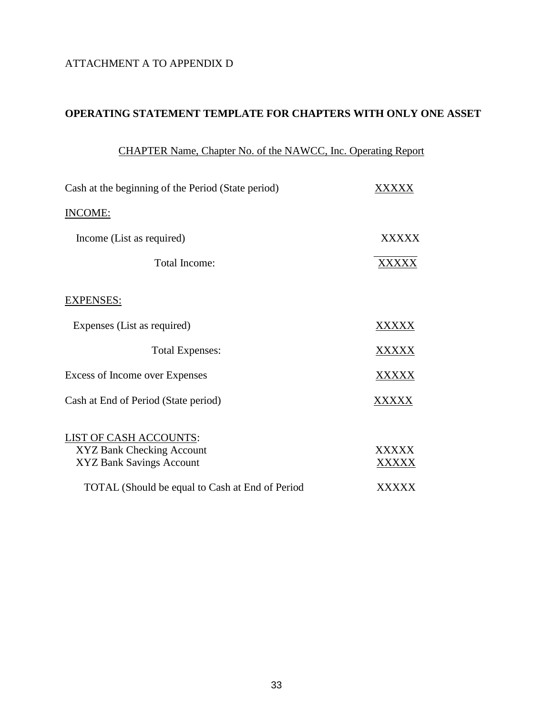# ATTACHMENT A TO APPENDIX D

# **OPERATING STATEMENT TEMPLATE FOR CHAPTERS WITH ONLY ONE ASSET**

# CHAPTER Name, Chapter No. of the NAWCC, Inc. Operating Report

| Cash at the beginning of the Period (State period)     | xxxx         |
|--------------------------------------------------------|--------------|
| <b>INCOME:</b>                                         |              |
| Income (List as required)                              | <b>XXXXX</b> |
| Total Income:                                          | XXXXX        |
| <b>EXPENSES:</b>                                       |              |
| Expenses (List as required)                            | XXXXX        |
| <b>Total Expenses:</b>                                 | XXXXX        |
| Excess of Income over Expenses                         | XXXXX        |
| Cash at End of Period (State period)                   | XXXXX        |
| LIST OF CASH ACCOUNTS:                                 |              |
| XYZ Bank Checking Account                              | XXXXX        |
| XYZ Bank Savings Account                               | XXXXX        |
| <b>TOTAL</b> (Should be equal to Cash at End of Period | XXXXX        |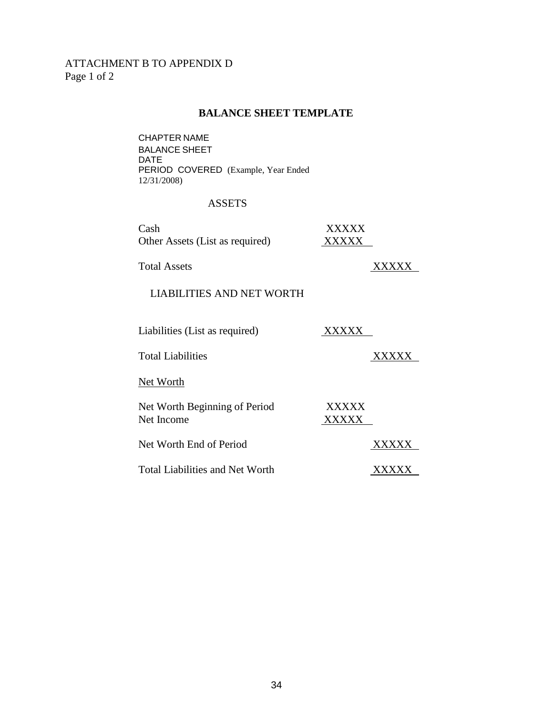# ATTACHMENT B TO APPENDIX D Page 1 of 2

#### **BALANCE SHEET TEMPLATE**

CHAPTER NAME BALANCE SHEET DATE PERIOD COVERED (Example, Year Ended 12/31/2008)

### ASSETS

| Cash                                        | XXXXX          |  |
|---------------------------------------------|----------------|--|
| Other Assets (List as required)             | XXXXX          |  |
| <b>Total Assets</b>                         |                |  |
| <b>LIABILITIES AND NET WORTH</b>            |                |  |
|                                             |                |  |
|                                             |                |  |
| Liabilities (List as required)              |                |  |
| <b>Total Liabilities</b>                    |                |  |
|                                             |                |  |
| Net Worth                                   |                |  |
|                                             |                |  |
| Net Worth Beginning of Period<br>Net Income | XXXXX<br>XXXXX |  |
|                                             |                |  |
| Net Worth End of Period                     |                |  |
| <b>Total Liabilities and Net Worth</b>      |                |  |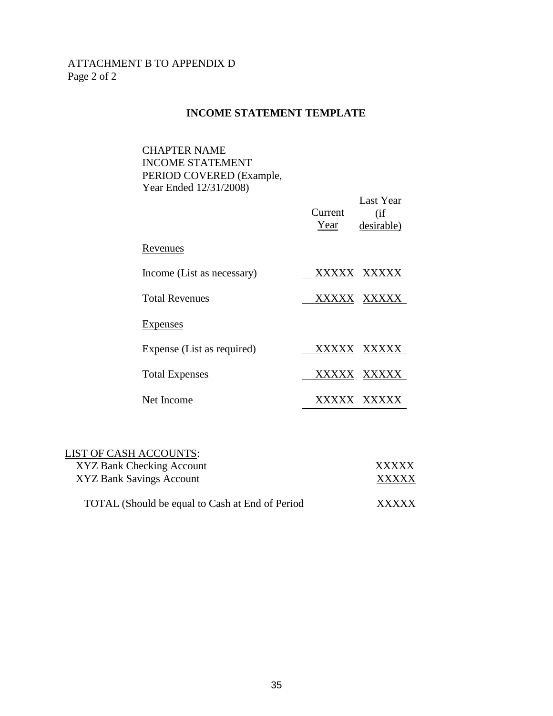# ATTACHMENT B TO APPENDIX D Page 2 of 2

### **INCOME STATEMENT TEMPLATE**

CHAPTER NAME INCOME STATEMENT PERIOD COVERED (Example, Year Ended 12/31/2008)

|                            | Current<br>Year | Last Year<br>(i f)<br>desirable) |
|----------------------------|-----------------|----------------------------------|
| Revenues                   |                 |                                  |
| Income (List as necessary) | <b>XXXXX</b>    | XXXXX                            |
| <b>Total Revenues</b>      |                 | XXXXX XXXXX                      |
| Expenses                   |                 |                                  |
| Expense (List as required) | XXXXX           | <b>XXXXX</b>                     |
| <b>Total Expenses</b>      | XXXXX           | XXXXX                            |
| Net Income                 |                 |                                  |

| LIST OF CASH ACCOUNTS:                          |              |
|-------------------------------------------------|--------------|
| XYZ Bank Checking Account                       | <b>XXXXX</b> |
| XYZ Bank Savings Account                        | <b>XXXXX</b> |
| TOTAL (Should be equal to Cash at End of Period | <b>XXXXX</b> |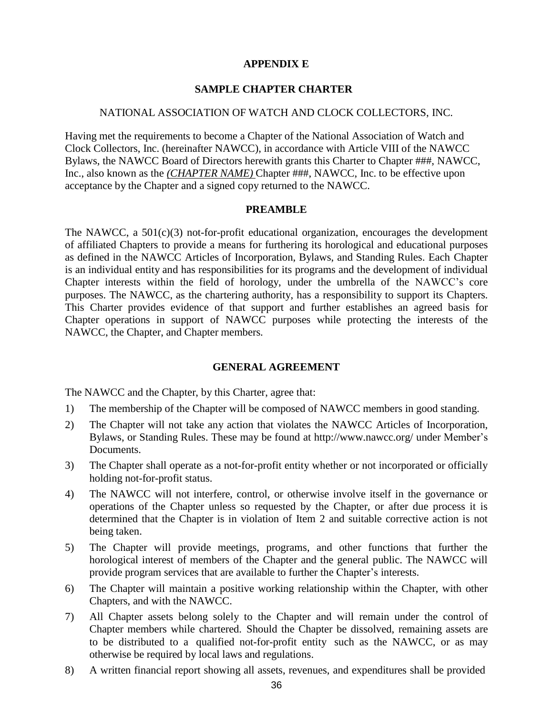# **APPENDIX E**

# **SAMPLE CHAPTER CHARTER**

#### NATIONAL ASSOCIATION OF WATCH AND CLOCK COLLECTORS, INC.

Having met the requirements to become a Chapter of the National Association of Watch and Clock Collectors, Inc. (hereinafter NAWCC), in accordance with Article VIII of the NAWCC Bylaws, the NAWCC Board of Directors herewith grants this Charter to Chapter ###, NAWCC, Inc., also known as the *(CHAPTER NAME)* Chapter ###, NAWCC, Inc. to be effective upon acceptance by the Chapter and a signed copy returned to the NAWCC.

# **PREAMBLE**

The NAWCC, a 501(c)(3) not-for-profit educational organization, encourages the development of affiliated Chapters to provide a means for furthering its horological and educational purposes as defined in the NAWCC Articles of Incorporation, Bylaws, and Standing Rules. Each Chapter is an individual entity and has responsibilities for its programs and the development of individual Chapter interests within the field of horology, under the umbrella of the NAWCC's core purposes. The NAWCC, as the chartering authority, has a responsibility to support its Chapters. This Charter provides evidence of that support and further establishes an agreed basis for Chapter operations in support of NAWCC purposes while protecting the interests of the NAWCC, the Chapter, and Chapter members.

#### **GENERAL AGREEMENT**

The NAWCC and the Chapter, by this Charter, agree that:

- 1) The membership of the Chapter will be composed of NAWCC members in good standing.
- 2) The Chapter will not take any action that violates the NAWCC Articles of Incorporation, Bylaws, or Standing Rules. These may be found at <http://www.nawcc.org/> under Member's Documents.
- 3) The Chapter shall operate as a not-for-profit entity whether or not incorporated or officially holding not-for-profit status.
- 4) The NAWCC will not interfere, control, or otherwise involve itself in the governance or operations of the Chapter unless so requested by the Chapter, or after due process it is determined that the Chapter is in violation of Item 2 and suitable corrective action is not being taken.
- 5) The Chapter will provide meetings, programs, and other functions that further the horological interest of members of the Chapter and the general public. The NAWCC will provide program services that are available to further the Chapter's interests.
- 6) The Chapter will maintain a positive working relationship within the Chapter, with other Chapters, and with the NAWCC.
- 7) All Chapter assets belong solely to the Chapter and will remain under the control of Chapter members while chartered. Should the Chapter be dissolved, remaining assets are to be distributed to a qualified not-for-profit entity such as the NAWCC, or as may otherwise be required by local laws and regulations.
- 8) A written financial report showing all assets, revenues, and expenditures shall be provided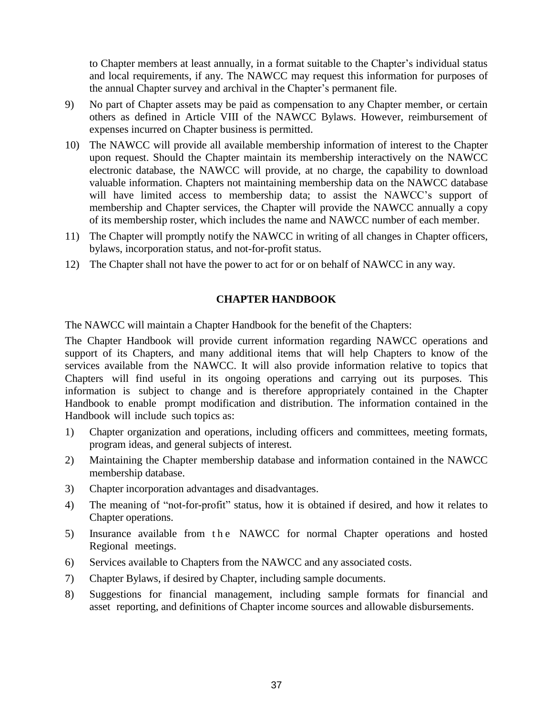to Chapter members at least annually, in a format suitable to the Chapter's individual status and local requirements, if any. The NAWCC may request this information for purposes of the annual Chapter survey and archival in the Chapter's permanent file.

- 9) No part of Chapter assets may be paid as compensation to any Chapter member, or certain others as defined in Article VIII of the NAWCC Bylaws. However, reimbursement of expenses incurred on Chapter business is permitted.
- 10) The NAWCC will provide all available membership information of interest to the Chapter upon request. Should the Chapter maintain its membership interactively on the NAWCC electronic database, the NAWCC will provide, at no charge, the capability to download valuable information. Chapters not maintaining membership data on the NAWCC database will have limited access to membership data; to assist the NAWCC's support of membership and Chapter services, the Chapter will provide the NAWCC annually a copy of its membership roster, which includes the name and NAWCC number of each member.
- 11) The Chapter will promptly notify the NAWCC in writing of all changes in Chapter officers, bylaws, incorporation status, and not-for-profit status.
- 12) The Chapter shall not have the power to act for or on behalf of NAWCC in any way.

# **CHAPTER HANDBOOK**

The NAWCC will maintain a Chapter Handbook for the benefit of the Chapters:

The Chapter Handbook will provide current information regarding NAWCC operations and support of its Chapters, and many additional items that will help Chapters to know of the services available from the NAWCC. It will also provide information relative to topics that Chapters will find useful in its ongoing operations and carrying out its purposes. This information is subject to change and is therefore appropriately contained in the Chapter Handbook to enable prompt modification and distribution. The information contained in the Handbook will include such topics as:

- 1) Chapter organization and operations, including officers and committees, meeting formats, program ideas, and general subjects of interest.
- 2) Maintaining the Chapter membership database and information contained in the NAWCC membership database.
- 3) Chapter incorporation advantages and disadvantages.
- 4) The meaning of "not-for-profit" status, how it is obtained if desired, and how it relates to Chapter operations.
- 5) Insurance available from the NAWCC for normal Chapter operations and hosted Regional meetings.
- 6) Services available to Chapters from the NAWCC and any associated costs.
- 7) Chapter Bylaws, if desired by Chapter, including sample documents.
- 8) Suggestions for financial management, including sample formats for financial and asset reporting, and definitions of Chapter income sources and allowable disbursements.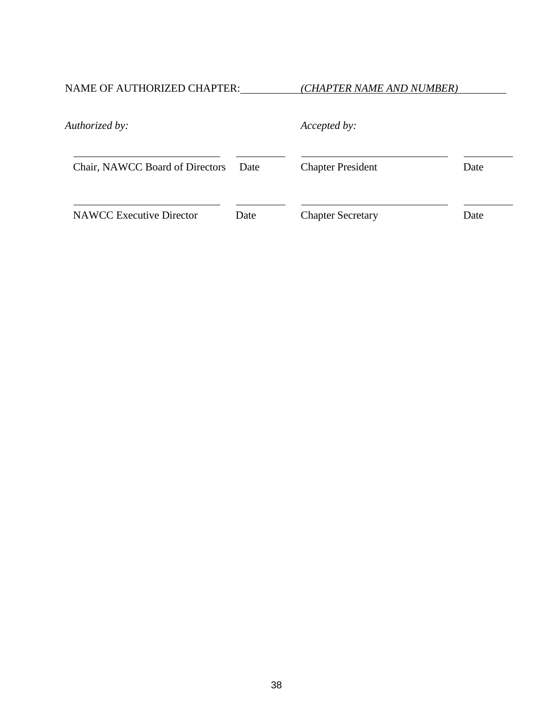NAME OF AUTHORIZED CHAPTER: *(CHAPTER NAME AND NUMBER)*

| Authorized by:                  |      | Accepted by:             |      |
|---------------------------------|------|--------------------------|------|
| Chair, NAWCC Board of Directors | Date | <b>Chapter President</b> | Date |
| <b>NAWCC</b> Executive Director | Date | <b>Chapter Secretary</b> | Date |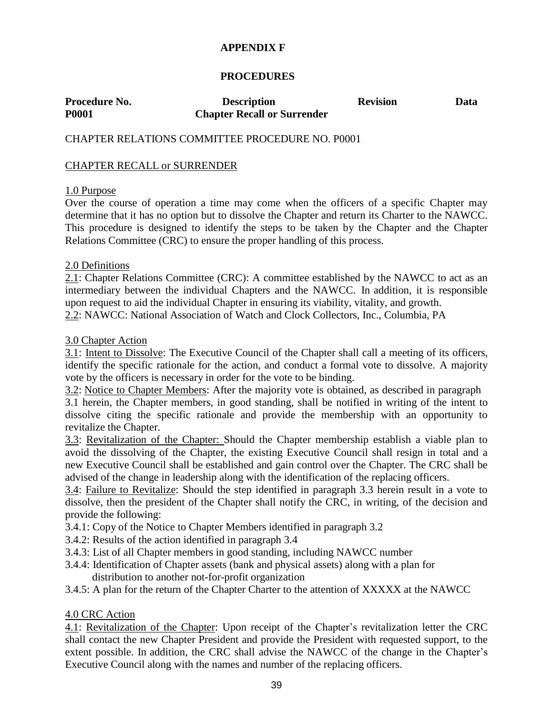# **APPENDIX F**

# **PROCEDURES**

| Procedure No. | <b>Description</b>                 | <b>Revision</b> | Data |
|---------------|------------------------------------|-----------------|------|
| <b>P0001</b>  | <b>Chapter Recall or Surrender</b> |                 |      |

# CHAPTER RELATIONS COMMITTEE PROCEDURE NO. P0001

### CHAPTER RECALL or SURRENDER

### 1.0 Purpose

Over the course of operation a time may come when the officers of a specific Chapter may determine that it has no option but to dissolve the Chapter and return its Charter to the NAWCC. This procedure is designed to identify the steps to be taken by the Chapter and the Chapter Relations Committee (CRC) to ensure the proper handling of this process.

### 2.0 Definitions

2.1: Chapter Relations Committee (CRC): A committee established by the NAWCC to act as an intermediary between the individual Chapters and the NAWCC. In addition, it is responsible upon request to aid the individual Chapter in ensuring its viability, vitality, and growth. 2.2: NAWCC: National Association of Watch and Clock Collectors, Inc., Columbia, PA

### 3.0 Chapter Action

3.1: Intent to Dissolve: The Executive Council of the Chapter shall call a meeting of its officers, identify the specific rationale for the action, and conduct a formal vote to dissolve. A majority vote by the officers is necessary in order for the vote to be binding.

3.2: Notice to Chapter Members: After the majority vote is obtained, as described in paragraph

3.1 herein, the Chapter members, in good standing, shall be notified in writing of the intent to dissolve citing the specific rationale and provide the membership with an opportunity to revitalize the Chapter.

3.3: Revitalization of the Chapter: Should the Chapter membership establish a viable plan to avoid the dissolving of the Chapter, the existing Executive Council shall resign in total and a new Executive Council shall be established and gain control over the Chapter. The CRC shall be advised of the change in leadership along with the identification of the replacing officers.

3.4: Failure to Revitalize: Should the step identified in paragraph 3.3 herein result in a vote to dissolve, then the president of the Chapter shall notify the CRC, in writing, of the decision and provide the following:

- 3.4.1: Copy of the Notice to Chapter Members identified in paragraph 3.2
- 3.4.2: Results of the action identified in paragraph 3.4
- 3.4.3: List of all Chapter members in good standing, including NAWCC number
- 3.4.4: Identification of Chapter assets (bank and physical assets) along with a plan for distribution to another not-for-profit organization
- 3.4.5: A plan for the return of the Chapter Charter to the attention of XXXXX at the NAWCC

# 4.0 CRC Action

4.1: Revitalization of the Chapter: Upon receipt of the Chapter's revitalization letter the CRC shall contact the new Chapter President and provide the President with requested support, to the extent possible. In addition, the CRC shall advise the NAWCC of the change in the Chapter's Executive Council along with the names and number of the replacing officers.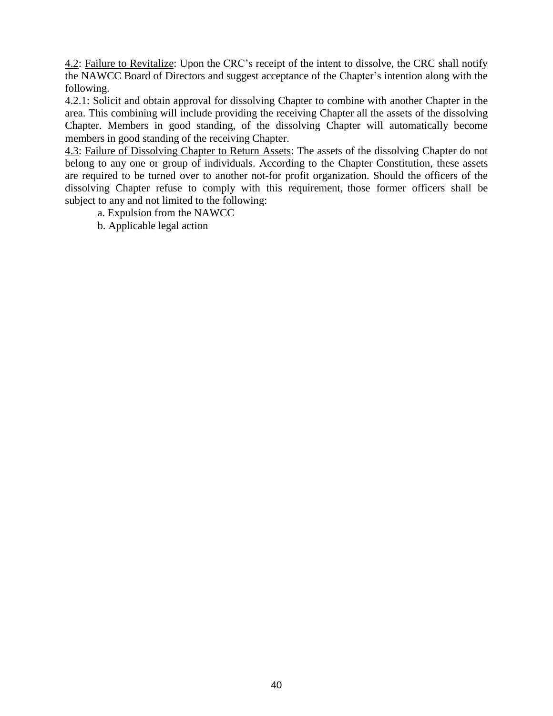4.2: Failure to Revitalize: Upon the CRC's receipt of the intent to dissolve, the CRC shall notify the NAWCC Board of Directors and suggest acceptance of the Chapter's intention along with the following.

4.2.1: Solicit and obtain approval for dissolving Chapter to combine with another Chapter in the area. This combining will include providing the receiving Chapter all the assets of the dissolving Chapter. Members in good standing, of the dissolving Chapter will automatically become members in good standing of the receiving Chapter.

4.3: Failure of Dissolving Chapter to Return Assets: The assets of the dissolving Chapter do not belong to any one or group of individuals. According to the Chapter Constitution, these assets are required to be turned over to another not-for profit organization. Should the officers of the dissolving Chapter refuse to comply with this requirement, those former officers shall be subject to any and not limited to the following:

- a. Expulsion from the NAWCC
- b. Applicable legal action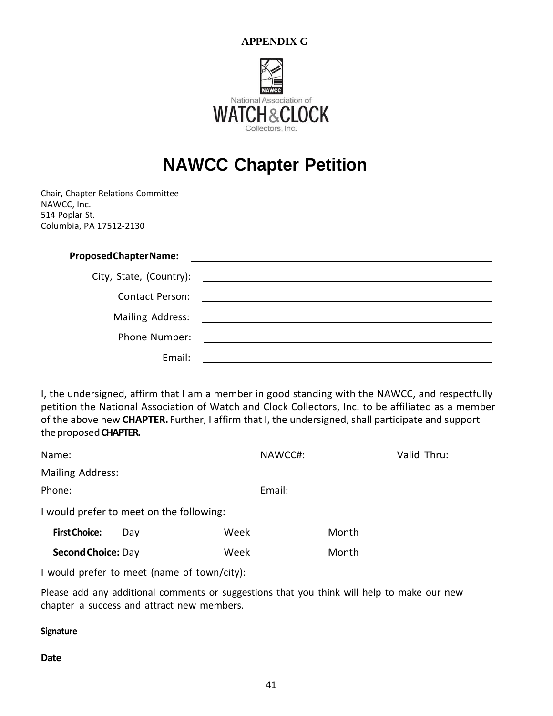

# **NAWCC Chapter Petition**

Chair, Chapter Relations Committee NAWCC, Inc. 514 Poplar St. Columbia, PA 17512-2130

# **ProposedChapterName:**

| City, State, (Country): |  |
|-------------------------|--|
| <b>Contact Person:</b>  |  |
| Mailing Address:        |  |
| Phone Number:           |  |
| Email:                  |  |

I, the undersigned, affirm that I am a member in good standing with the NAWCC, and respectfully petition the National Association of Watch and Clock Collectors, Inc. to be affiliated as a member of the above new CHAPTER. Further, I affirm that I, the undersigned, shall participate and support theproposed**CHAPTER.**

| Name:                                       |     |      | NAWCC#: |       | Valid Thru: |  |  |
|---------------------------------------------|-----|------|---------|-------|-------------|--|--|
| Mailing Address:                            |     |      |         |       |             |  |  |
| Phone:                                      |     |      | Email:  |       |             |  |  |
| I would prefer to meet on the following:    |     |      |         |       |             |  |  |
| <b>First Choice:</b>                        | Day | Week |         | Month |             |  |  |
| <b>Second Choice: Day</b>                   |     | Week |         | Month |             |  |  |
| I would prefer to meet (name of town/city): |     |      |         |       |             |  |  |

Please add any additional comments or suggestions that you think will help to make our new chapter a success and attract new members.

#### **Signature**

**Date**